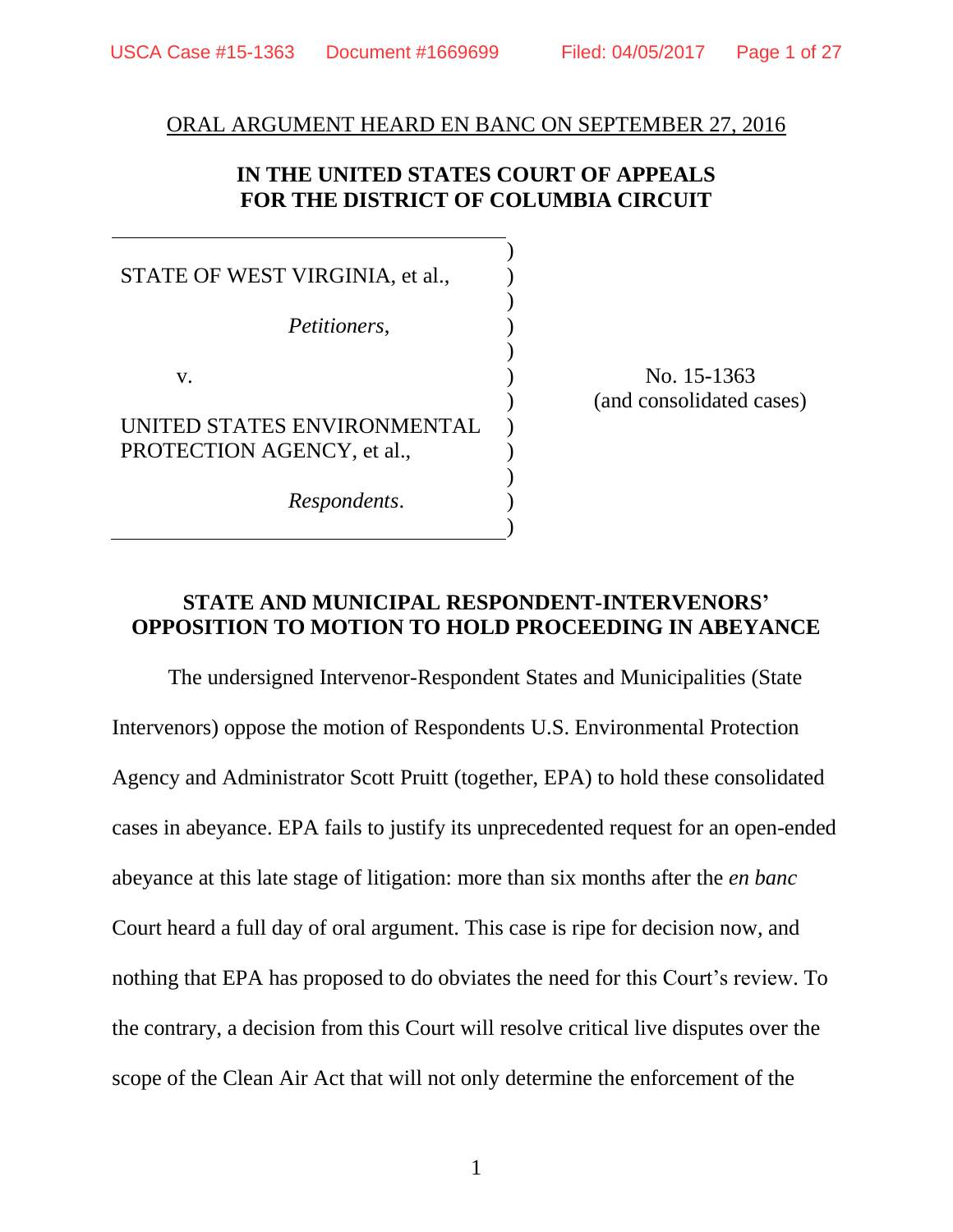#### ORAL ARGUMENT HEARD EN BANC ON SEPTEMBER 27, 2016

## **IN THE UNITED STATES COURT OF APPEALS FOR THE DISTRICT OF COLUMBIA CIRCUIT**

STATE OF WEST VIRGINIA, et al., *Petitioners*, v. UNITED STATES ENVIRONMENTAL PROTECTION AGENCY, et al., *Respondents*. ) ) ) ) ) ) ) ) ) ) ) )

No. 15-1363 (and consolidated cases)

### **STATE AND MUNICIPAL RESPONDENT-INTERVENORS' OPPOSITION TO MOTION TO HOLD PROCEEDING IN ABEYANCE**

The undersigned Intervenor-Respondent States and Municipalities (State Intervenors) oppose the motion of Respondents U.S. Environmental Protection Agency and Administrator Scott Pruitt (together, EPA) to hold these consolidated cases in abeyance. EPA fails to justify its unprecedented request for an open-ended abeyance at this late stage of litigation: more than six months after the *en banc* Court heard a full day of oral argument. This case is ripe for decision now, and nothing that EPA has proposed to do obviates the need for this Court's review. To the contrary, a decision from this Court will resolve critical live disputes over the scope of the Clean Air Act that will not only determine the enforcement of the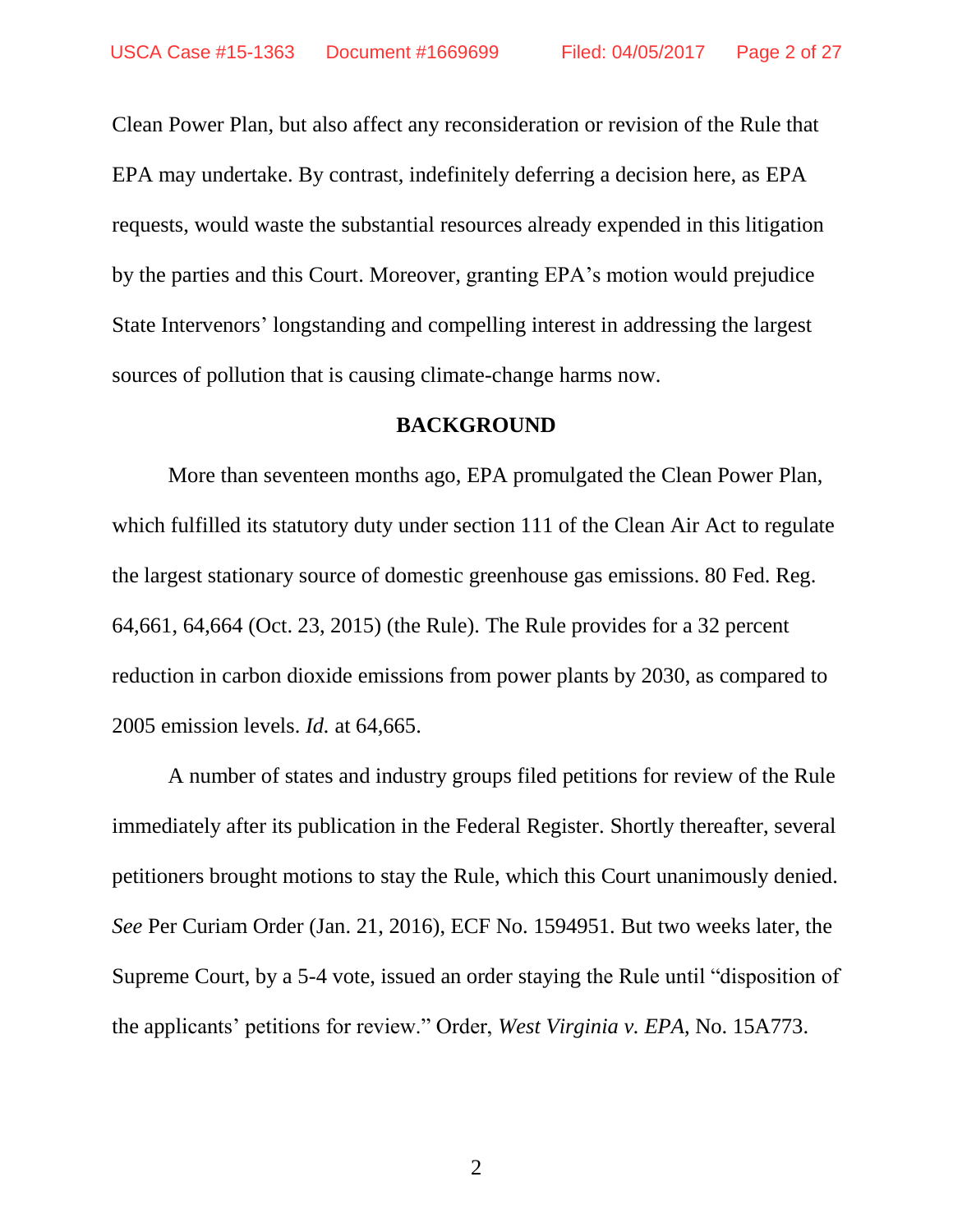Clean Power Plan, but also affect any reconsideration or revision of the Rule that EPA may undertake. By contrast, indefinitely deferring a decision here, as EPA requests, would waste the substantial resources already expended in this litigation by the parties and this Court. Moreover, granting EPA's motion would prejudice State Intervenors' longstanding and compelling interest in addressing the largest sources of pollution that is causing climate-change harms now.

### **BACKGROUND**

More than seventeen months ago, EPA promulgated the Clean Power Plan, which fulfilled its statutory duty under section 111 of the Clean Air Act to regulate the largest stationary source of domestic greenhouse gas emissions. 80 Fed. Reg. 64,661, 64,664 (Oct. 23, 2015) (the Rule). The Rule provides for a 32 percent reduction in carbon dioxide emissions from power plants by 2030, as compared to 2005 emission levels. *Id.* at 64,665.

A number of states and industry groups filed petitions for review of the Rule immediately after its publication in the Federal Register. Shortly thereafter, several petitioners brought motions to stay the Rule, which this Court unanimously denied. *See* Per Curiam Order (Jan. 21, 2016), ECF No. 1594951. But two weeks later, the Supreme Court, by a 5-4 vote, issued an order staying the Rule until "disposition of the applicants' petitions for review." Order, *West Virginia v. EPA*, No. 15A773.

2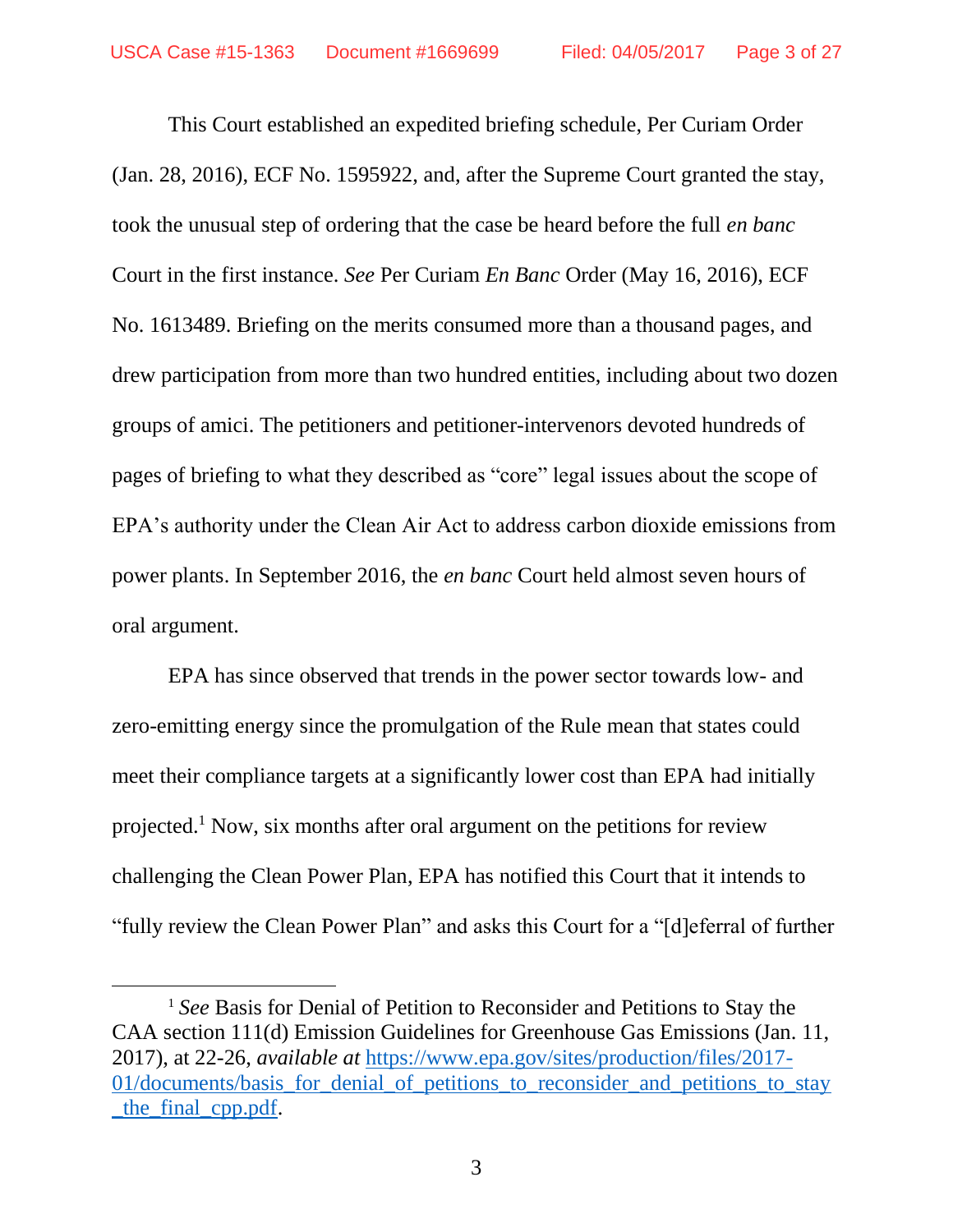This Court established an expedited briefing schedule, Per Curiam Order (Jan. 28, 2016), ECF No. 1595922, and, after the Supreme Court granted the stay, took the unusual step of ordering that the case be heard before the full *en banc* Court in the first instance. *See* Per Curiam *En Banc* Order (May 16, 2016), ECF No. 1613489. Briefing on the merits consumed more than a thousand pages, and drew participation from more than two hundred entities, including about two dozen groups of amici. The petitioners and petitioner-intervenors devoted hundreds of pages of briefing to what they described as "core" legal issues about the scope of EPA's authority under the Clean Air Act to address carbon dioxide emissions from power plants. In September 2016, the *en banc* Court held almost seven hours of oral argument.

EPA has since observed that trends in the power sector towards low- and zero-emitting energy since the promulgation of the Rule mean that states could meet their compliance targets at a significantly lower cost than EPA had initially projected.<sup>1</sup> Now, six months after oral argument on the petitions for review challenging the Clean Power Plan, EPA has notified this Court that it intends to "fully review the Clean Power Plan" and asks this Court for a "[d]eferral of further

 $\overline{a}$ 

<sup>1</sup> *See* Basis for Denial of Petition to Reconsider and Petitions to Stay the CAA section 111(d) Emission Guidelines for Greenhouse Gas Emissions (Jan. 11, 2017), at 22-26, *available at* [https://www.epa.gov/sites/production/files/2017-](https://www.epa.gov/sites/production/files/2017-01/documents/basis_for_denial_of_petitions_to_reconsider_and_petitions_to_stay_the_final_cpp.pdf) [01/documents/basis\\_for\\_denial\\_of\\_petitions\\_to\\_reconsider\\_and\\_petitions\\_to\\_stay](https://www.epa.gov/sites/production/files/2017-01/documents/basis_for_denial_of_petitions_to_reconsider_and_petitions_to_stay_the_final_cpp.pdf) [\\_the\\_final\\_cpp.pdf.](https://www.epa.gov/sites/production/files/2017-01/documents/basis_for_denial_of_petitions_to_reconsider_and_petitions_to_stay_the_final_cpp.pdf)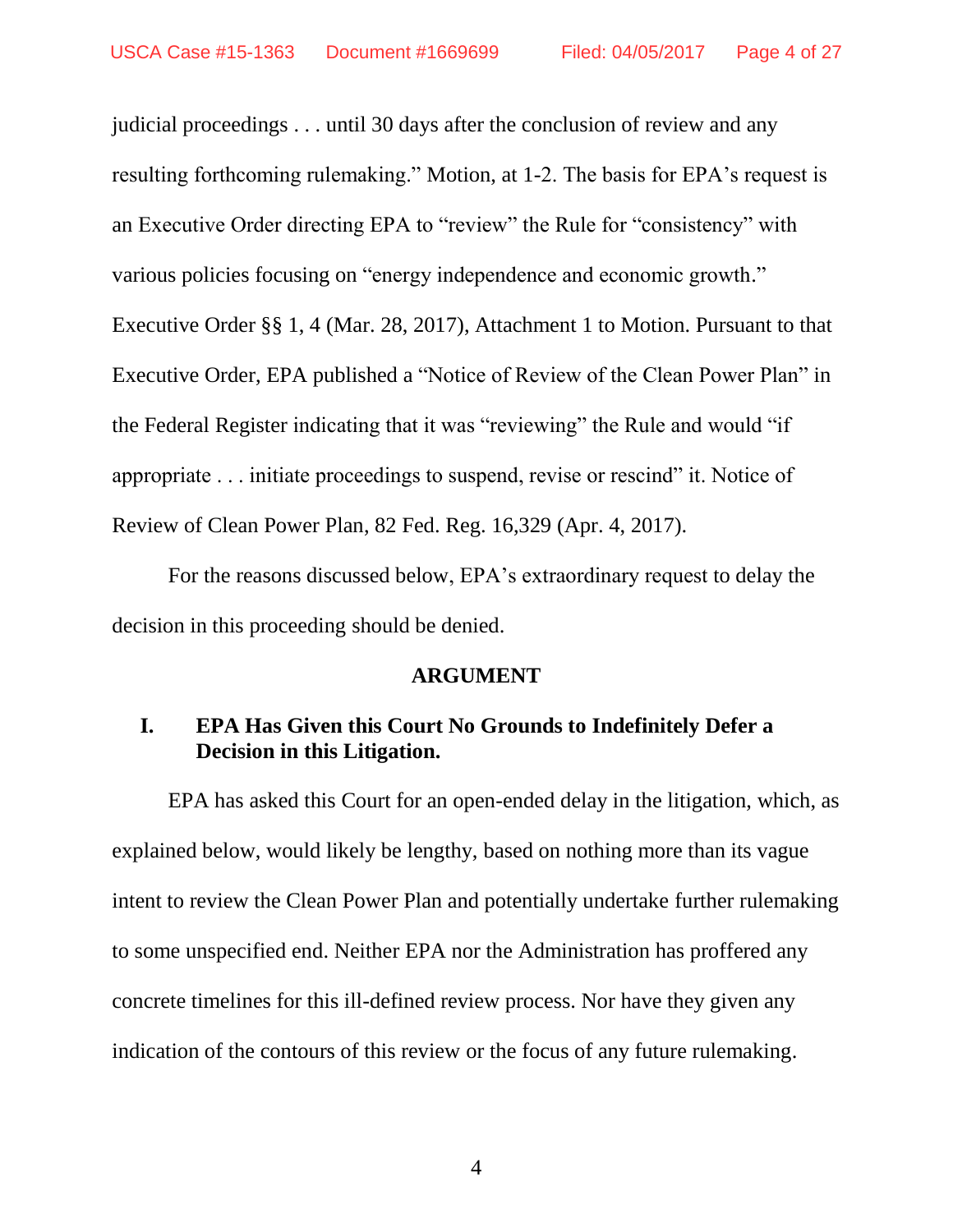judicial proceedings . . . until 30 days after the conclusion of review and any resulting forthcoming rulemaking." Motion, at 1-2. The basis for EPA's request is an Executive Order directing EPA to "review" the Rule for "consistency" with various policies focusing on "energy independence and economic growth." Executive Order §§ 1, 4 (Mar. 28, 2017), Attachment 1 to Motion. Pursuant to that Executive Order, EPA published a "Notice of Review of the Clean Power Plan" in the Federal Register indicating that it was "reviewing" the Rule and would "if appropriate . . . initiate proceedings to suspend, revise or rescind" it. Notice of Review of Clean Power Plan, 82 Fed. Reg. 16,329 (Apr. 4, 2017).

For the reasons discussed below, EPA's extraordinary request to delay the decision in this proceeding should be denied.

#### **ARGUMENT**

## **I. EPA Has Given this Court No Grounds to Indefinitely Defer a Decision in this Litigation.**

EPA has asked this Court for an open-ended delay in the litigation, which, as explained below, would likely be lengthy, based on nothing more than its vague intent to review the Clean Power Plan and potentially undertake further rulemaking to some unspecified end. Neither EPA nor the Administration has proffered any concrete timelines for this ill-defined review process. Nor have they given any indication of the contours of this review or the focus of any future rulemaking.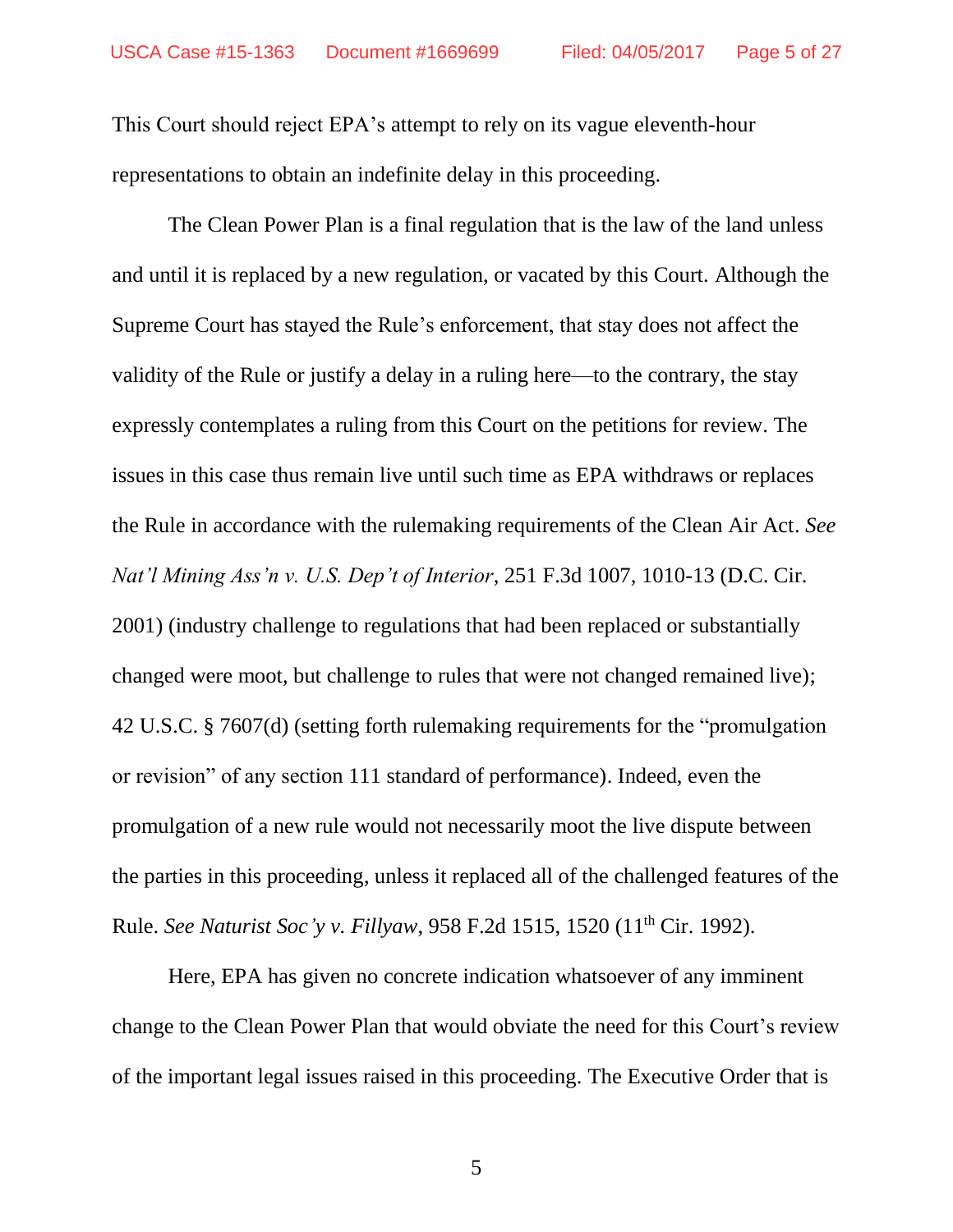This Court should reject EPA's attempt to rely on its vague eleventh-hour representations to obtain an indefinite delay in this proceeding.

The Clean Power Plan is a final regulation that is the law of the land unless and until it is replaced by a new regulation, or vacated by this Court. Although the Supreme Court has stayed the Rule's enforcement, that stay does not affect the validity of the Rule or justify a delay in a ruling here—to the contrary, the stay expressly contemplates a ruling from this Court on the petitions for review. The issues in this case thus remain live until such time as EPA withdraws or replaces the Rule in accordance with the rulemaking requirements of the Clean Air Act. *See Nat'l Mining Ass'n v. U.S. Dep't of Interior*, 251 F.3d 1007, 1010-13 (D.C. Cir. 2001) (industry challenge to regulations that had been replaced or substantially changed were moot, but challenge to rules that were not changed remained live); 42 U.S.C. § 7607(d) (setting forth rulemaking requirements for the "promulgation or revision" of any section 111 standard of performance). Indeed, even the promulgation of a new rule would not necessarily moot the live dispute between the parties in this proceeding, unless it replaced all of the challenged features of the Rule. *See Naturist Soc'y v. Fillyaw*, 958 F.2d 1515, 1520 (11th Cir. 1992).

Here, EPA has given no concrete indication whatsoever of any imminent change to the Clean Power Plan that would obviate the need for this Court's review of the important legal issues raised in this proceeding. The Executive Order that is

5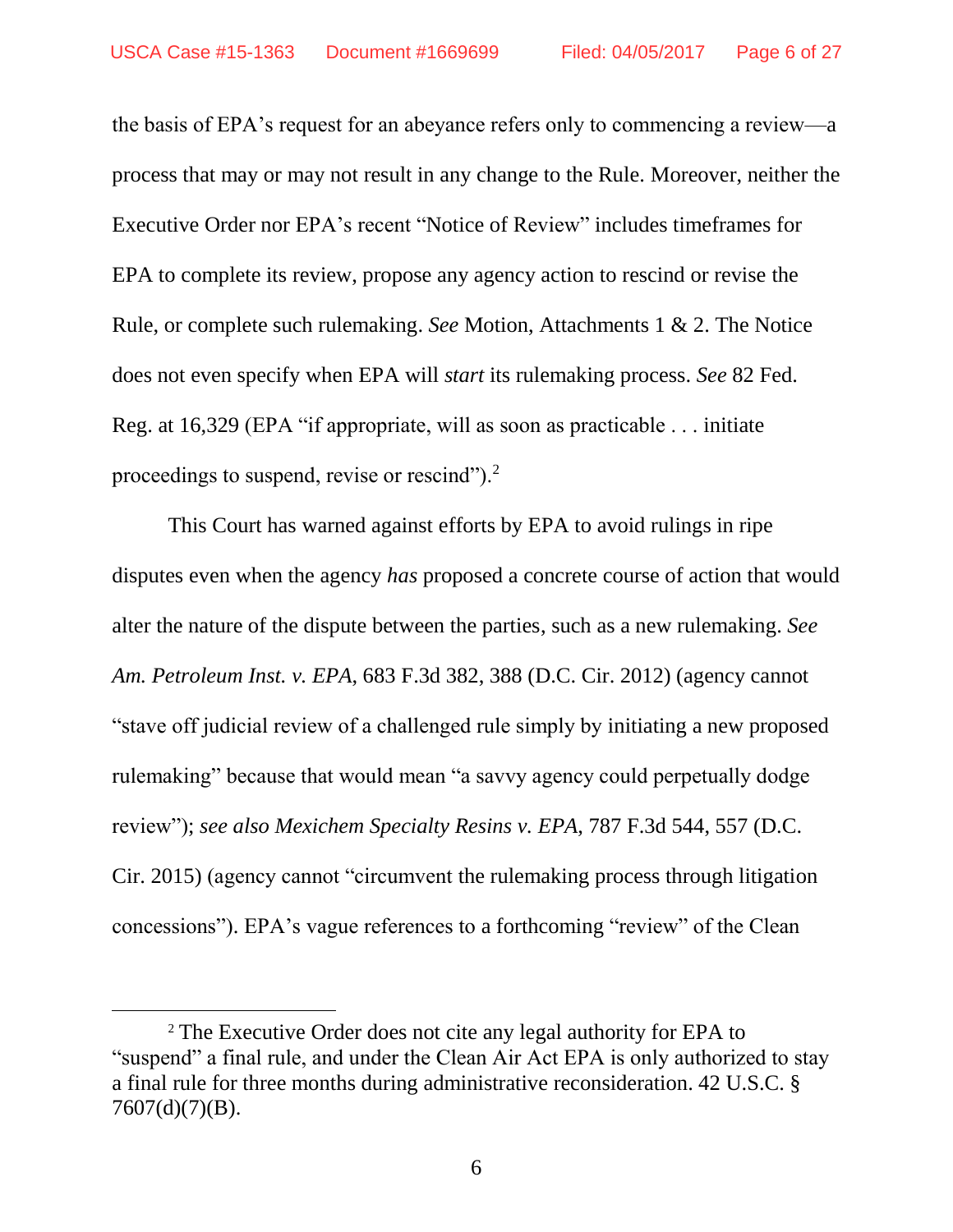the basis of EPA's request for an abeyance refers only to commencing a review—a process that may or may not result in any change to the Rule. Moreover, neither the Executive Order nor EPA's recent "Notice of Review" includes timeframes for EPA to complete its review, propose any agency action to rescind or revise the Rule, or complete such rulemaking. *See* Motion, Attachments 1 & 2. The Notice does not even specify when EPA will *start* its rulemaking process. *See* 82 Fed. Reg. at 16,329 (EPA "if appropriate, will as soon as practicable . . . initiate proceedings to suspend, revise or rescind").<sup>2</sup>

This Court has warned against efforts by EPA to avoid rulings in ripe disputes even when the agency *has* proposed a concrete course of action that would alter the nature of the dispute between the parties, such as a new rulemaking. *See Am. Petroleum Inst. v. EPA*, 683 F.3d 382, 388 (D.C. Cir. 2012) (agency cannot "stave off judicial review of a challenged rule simply by initiating a new proposed rulemaking" because that would mean "a savvy agency could perpetually dodge review"); *see also Mexichem Specialty Resins v. EPA*, 787 F.3d 544, 557 (D.C. Cir. 2015) (agency cannot "circumvent the rulemaking process through litigation concessions"). EPA's vague references to a forthcoming "review" of the Clean

 $\overline{a}$ 

<sup>2</sup> The Executive Order does not cite any legal authority for EPA to "suspend" a final rule, and under the Clean Air Act EPA is only authorized to stay a final rule for three months during administrative reconsideration. 42 U.S.C. §  $7607(d)(7)(B)$ .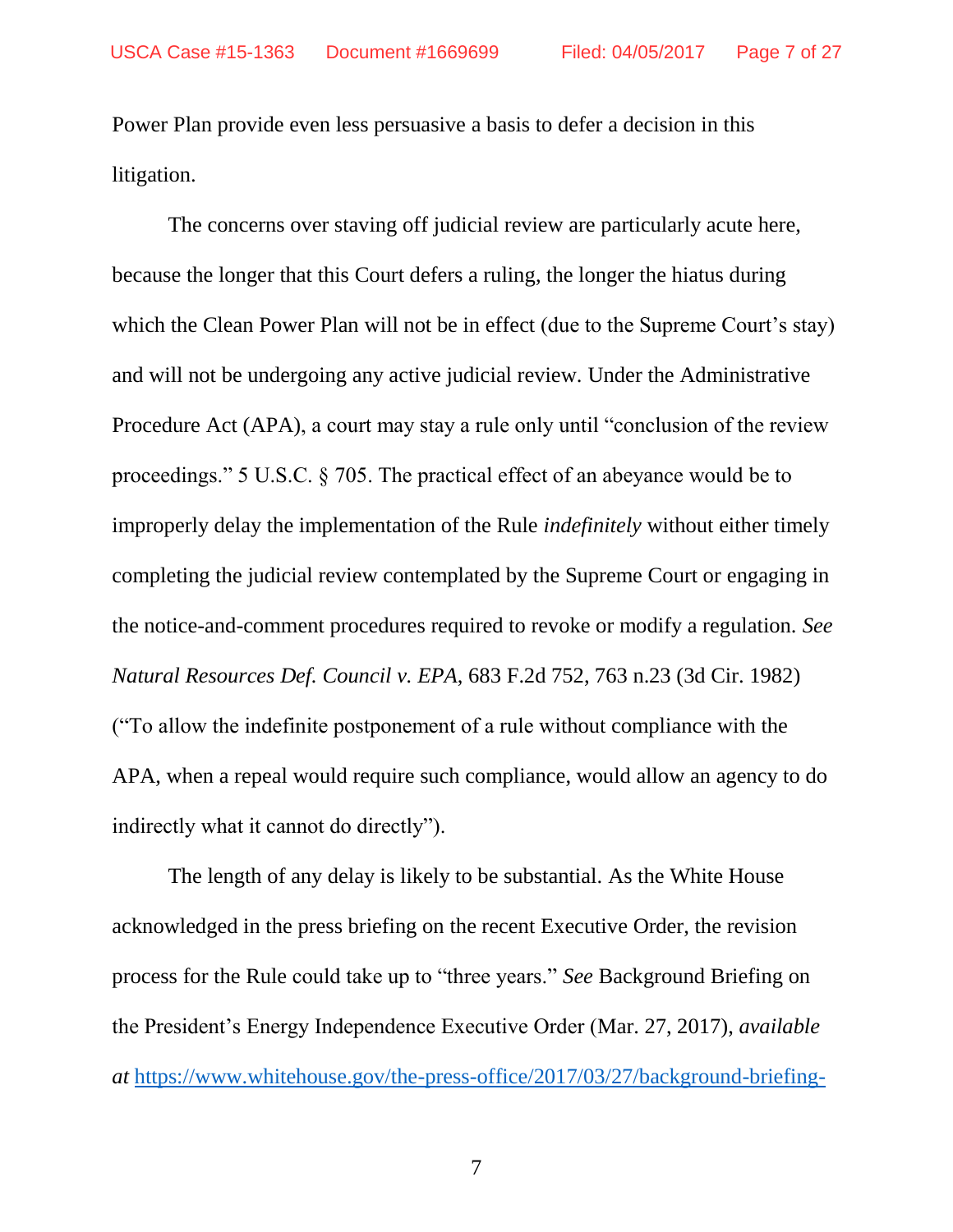Power Plan provide even less persuasive a basis to defer a decision in this litigation.

The concerns over staving off judicial review are particularly acute here, because the longer that this Court defers a ruling, the longer the hiatus during which the Clean Power Plan will not be in effect (due to the Supreme Court's stay) and will not be undergoing any active judicial review. Under the Administrative Procedure Act (APA), a court may stay a rule only until "conclusion of the review proceedings." 5 U.S.C. § 705. The practical effect of an abeyance would be to improperly delay the implementation of the Rule *indefinitely* without either timely completing the judicial review contemplated by the Supreme Court or engaging in the notice-and-comment procedures required to revoke or modify a regulation. *See Natural Resources Def. Council v. EPA*, 683 F.2d 752, 763 n.23 (3d Cir. 1982) ("To allow the indefinite postponement of a rule without compliance with the APA, when a repeal would require such compliance, would allow an agency to do indirectly what it cannot do directly").

The length of any delay is likely to be substantial. As the White House acknowledged in the press briefing on the recent Executive Order, the revision process for the Rule could take up to "three years." *See* Background Briefing on the President's Energy Independence Executive Order (Mar. 27, 2017), *available at* [https://www.whitehouse.gov/the-press-office/2017/03/27/background-briefing-](https://www.whitehouse.gov/the-press-office/2017/03/27/background-briefing-presidents-energy-independence-executive-order)

7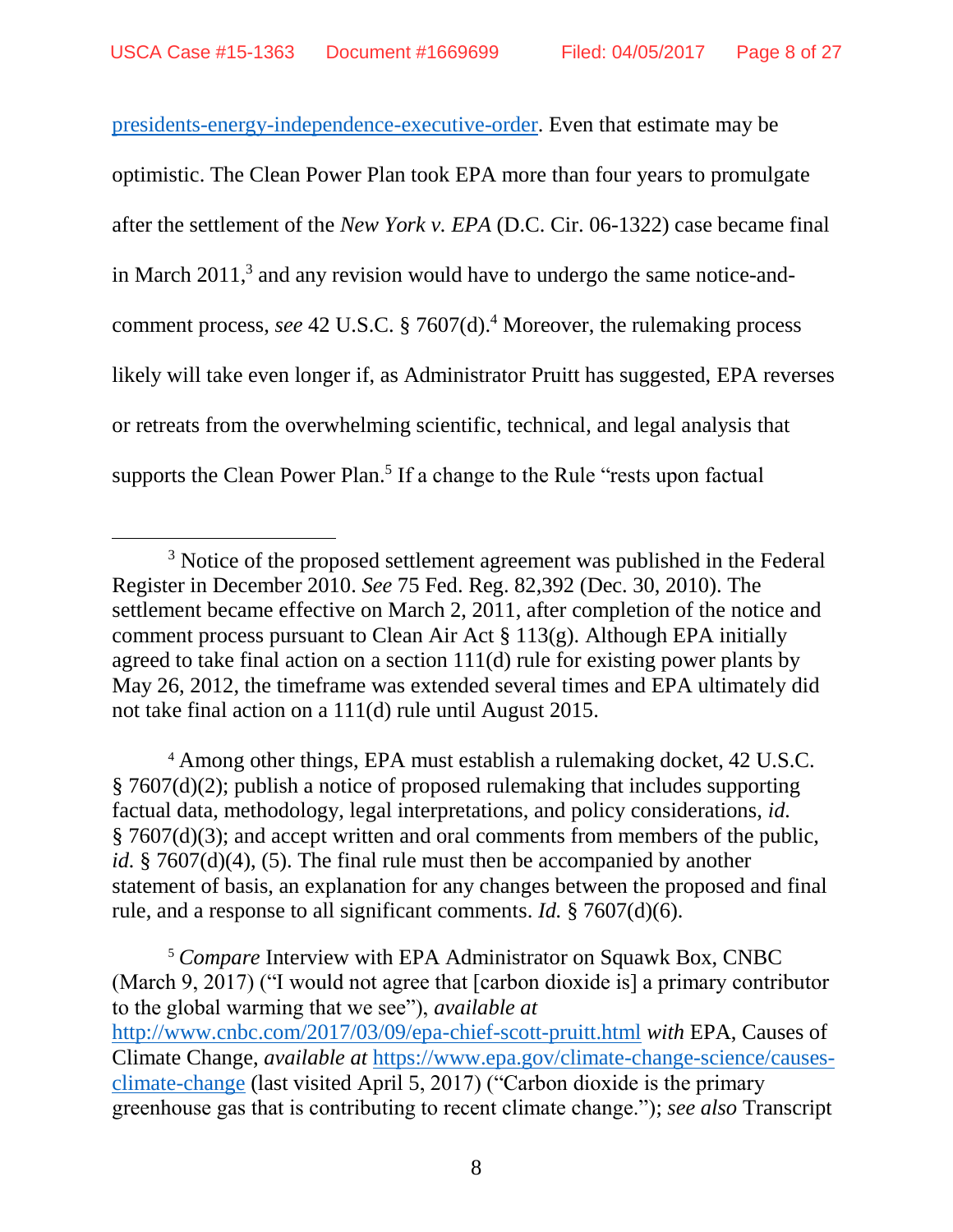[presidents-energy-independence-executive-order.](https://www.whitehouse.gov/the-press-office/2017/03/27/background-briefing-presidents-energy-independence-executive-order) Even that estimate may be optimistic. The Clean Power Plan took EPA more than four years to promulgate after the settlement of the *New York v. EPA* (D.C. Cir. 06-1322) case became final in March 2011, 3 and any revision would have to undergo the same notice-andcomment process, *see* 42 U.S.C. § 7607(d).<sup>4</sup> Moreover, the rulemaking process likely will take even longer if, as Administrator Pruitt has suggested, EPA reverses or retreats from the overwhelming scientific, technical, and legal analysis that supports the Clean Power Plan.<sup>5</sup> If a change to the Rule "rests upon factual

 $\overline{a}$ 

<sup>4</sup> Among other things, EPA must establish a rulemaking docket, 42 U.S.C. § 7607(d)(2); publish a notice of proposed rulemaking that includes supporting factual data, methodology, legal interpretations, and policy considerations, *id.* § 7607(d)(3); and accept written and oral comments from members of the public, *id.* § 7607(d)(4), (5). The final rule must then be accompanied by another statement of basis, an explanation for any changes between the proposed and final rule, and a response to all significant comments. *Id.* § 7607(d)(6).

<sup>5</sup> *Compare* Interview with EPA Administrator on Squawk Box, CNBC (March 9, 2017) ("I would not agree that [carbon dioxide is] a primary contributor to the global warming that we see"), *available at* <http://www.cnbc.com/2017/03/09/epa-chief-scott-pruitt.html> *with* EPA, Causes of Climate Change, *available at* [https://www.epa.gov/climate-change-science/causes](https://www.epa.gov/climate-change-science/causes-climate-change)[climate-change](https://www.epa.gov/climate-change-science/causes-climate-change) (last visited April 5, 2017) ("Carbon dioxide is the primary greenhouse gas that is contributing to recent climate change."); *see also* Transcript

<sup>&</sup>lt;sup>3</sup> Notice of the proposed settlement agreement was published in the Federal Register in December 2010. *See* 75 Fed. Reg. 82,392 (Dec. 30, 2010). The settlement became effective on March 2, 2011, after completion of the notice and comment process pursuant to Clean Air Act  $\S 113(g)$ . Although EPA initially agreed to take final action on a section 111(d) rule for existing power plants by May 26, 2012, the timeframe was extended several times and EPA ultimately did not take final action on a 111(d) rule until August 2015.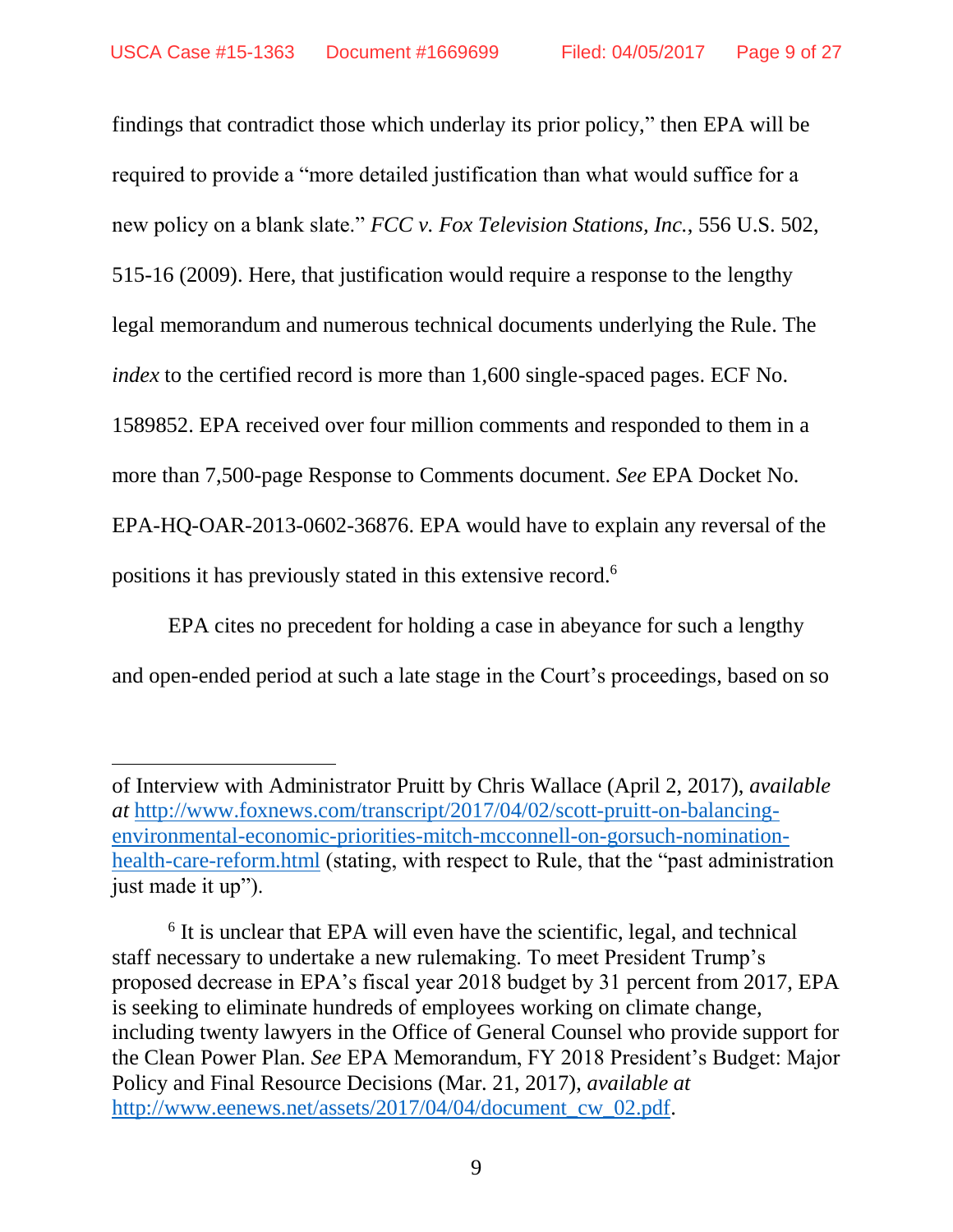findings that contradict those which underlay its prior policy," then EPA will be required to provide a "more detailed justification than what would suffice for a new policy on a blank slate." *FCC v. Fox Television Stations, Inc.*, 556 U.S. 502, 515-16 (2009). Here, that justification would require a response to the lengthy legal memorandum and numerous technical documents underlying the Rule. The *index* to the certified record is more than 1,600 single-spaced pages. ECF No. 1589852. EPA received over four million comments and responded to them in a more than 7,500-page Response to Comments document. *See* EPA Docket No. EPA-HQ-OAR-2013-0602-36876. EPA would have to explain any reversal of the positions it has previously stated in this extensive record.<sup>6</sup>

EPA cites no precedent for holding a case in abeyance for such a lengthy and open-ended period at such a late stage in the Court's proceedings, based on so

 $\overline{a}$ 

of Interview with Administrator Pruitt by Chris Wallace (April 2, 2017), *available at* [http://www.foxnews.com/transcript/2017/04/02/scott-pruitt-on-balancing](http://www.foxnews.com/transcript/2017/04/02/scott-pruitt-on-balancing-environmental-economic-priorities-mitch-mcconnell-on-gorsuch-nomination-health-care-reform.html)[environmental-economic-priorities-mitch-mcconnell-on-gorsuch-nomination](http://www.foxnews.com/transcript/2017/04/02/scott-pruitt-on-balancing-environmental-economic-priorities-mitch-mcconnell-on-gorsuch-nomination-health-care-reform.html)[health-care-reform.html](http://www.foxnews.com/transcript/2017/04/02/scott-pruitt-on-balancing-environmental-economic-priorities-mitch-mcconnell-on-gorsuch-nomination-health-care-reform.html) (stating, with respect to Rule, that the "past administration just made it up").

<sup>&</sup>lt;sup>6</sup> It is unclear that EPA will even have the scientific, legal, and technical staff necessary to undertake a new rulemaking. To meet President Trump's proposed decrease in EPA's fiscal year 2018 budget by 31 percent from 2017, EPA is seeking to eliminate hundreds of employees working on climate change, including twenty lawyers in the Office of General Counsel who provide support for the Clean Power Plan. *See* EPA Memorandum, FY 2018 President's Budget: Major Policy and Final Resource Decisions (Mar. 21, 2017), *available at* [http://www.eenews.net/assets/2017/04/04/document\\_cw\\_02.pdf.](www.eenews.net/assets/2017/04/04/document_cw_02.pdf)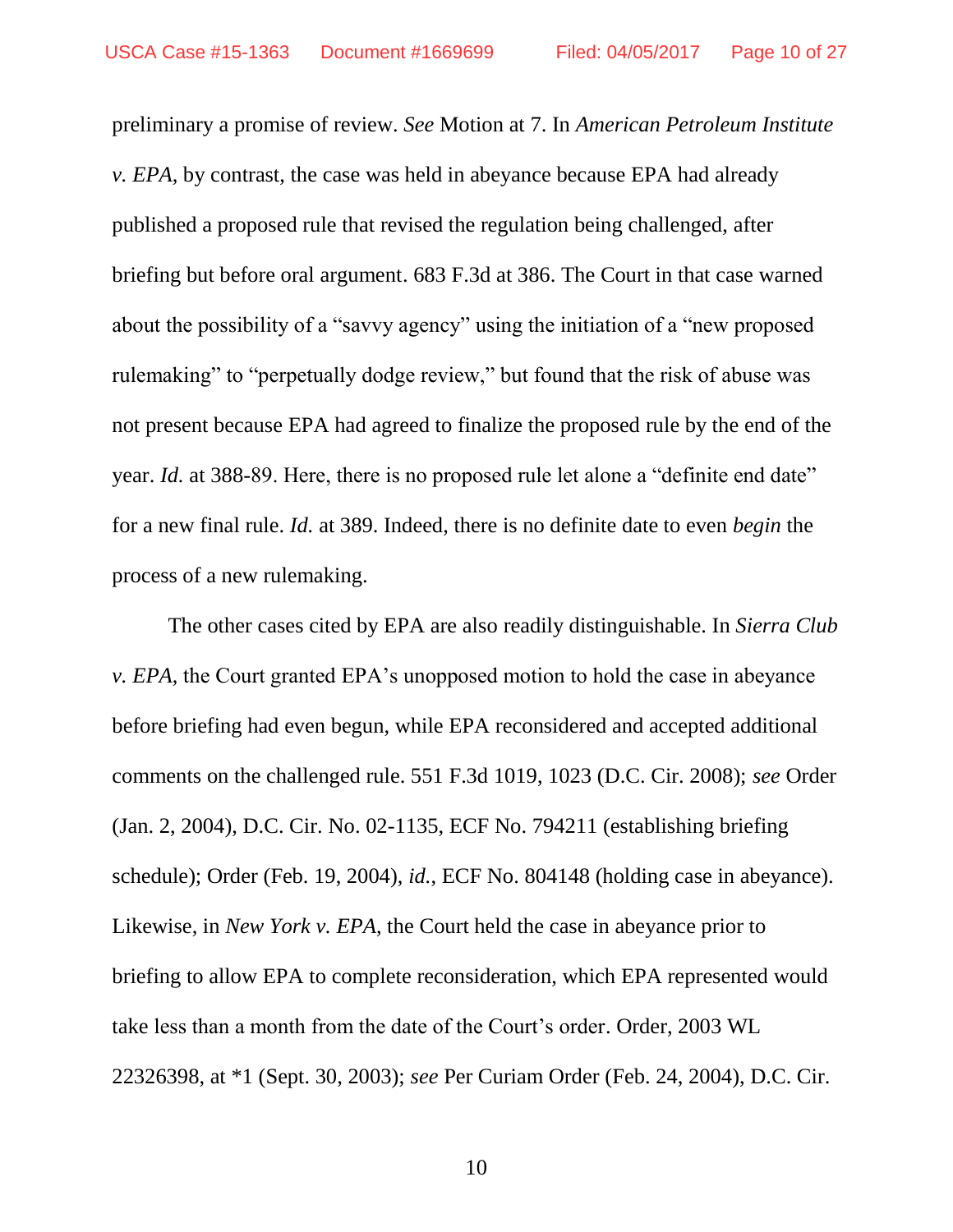preliminary a promise of review. *See* Motion at 7. In *American Petroleum Institute v. EPA*, by contrast, the case was held in abeyance because EPA had already published a proposed rule that revised the regulation being challenged, after briefing but before oral argument. 683 F.3d at 386. The Court in that case warned about the possibility of a "savvy agency" using the initiation of a "new proposed rulemaking" to "perpetually dodge review," but found that the risk of abuse was not present because EPA had agreed to finalize the proposed rule by the end of the year. *Id.* at 388-89. Here, there is no proposed rule let alone a "definite end date" for a new final rule. *Id.* at 389. Indeed, there is no definite date to even *begin* the process of a new rulemaking.

The other cases cited by EPA are also readily distinguishable. In *Sierra Club v. EPA*, the Court granted EPA's unopposed motion to hold the case in abeyance before briefing had even begun, while EPA reconsidered and accepted additional comments on the challenged rule. 551 F.3d 1019, 1023 (D.C. Cir. 2008); *see* Order (Jan. 2, 2004), D.C. Cir. No. 02-1135, ECF No. 794211 (establishing briefing schedule); Order (Feb. 19, 2004), *id.*, ECF No. 804148 (holding case in abeyance). Likewise, in *New York v. EPA*, the Court held the case in abeyance prior to briefing to allow EPA to complete reconsideration, which EPA represented would take less than a month from the date of the Court's order. Order, 2003 WL 22326398, at \*1 (Sept. 30, 2003); *see* Per Curiam Order (Feb. 24, 2004), D.C. Cir.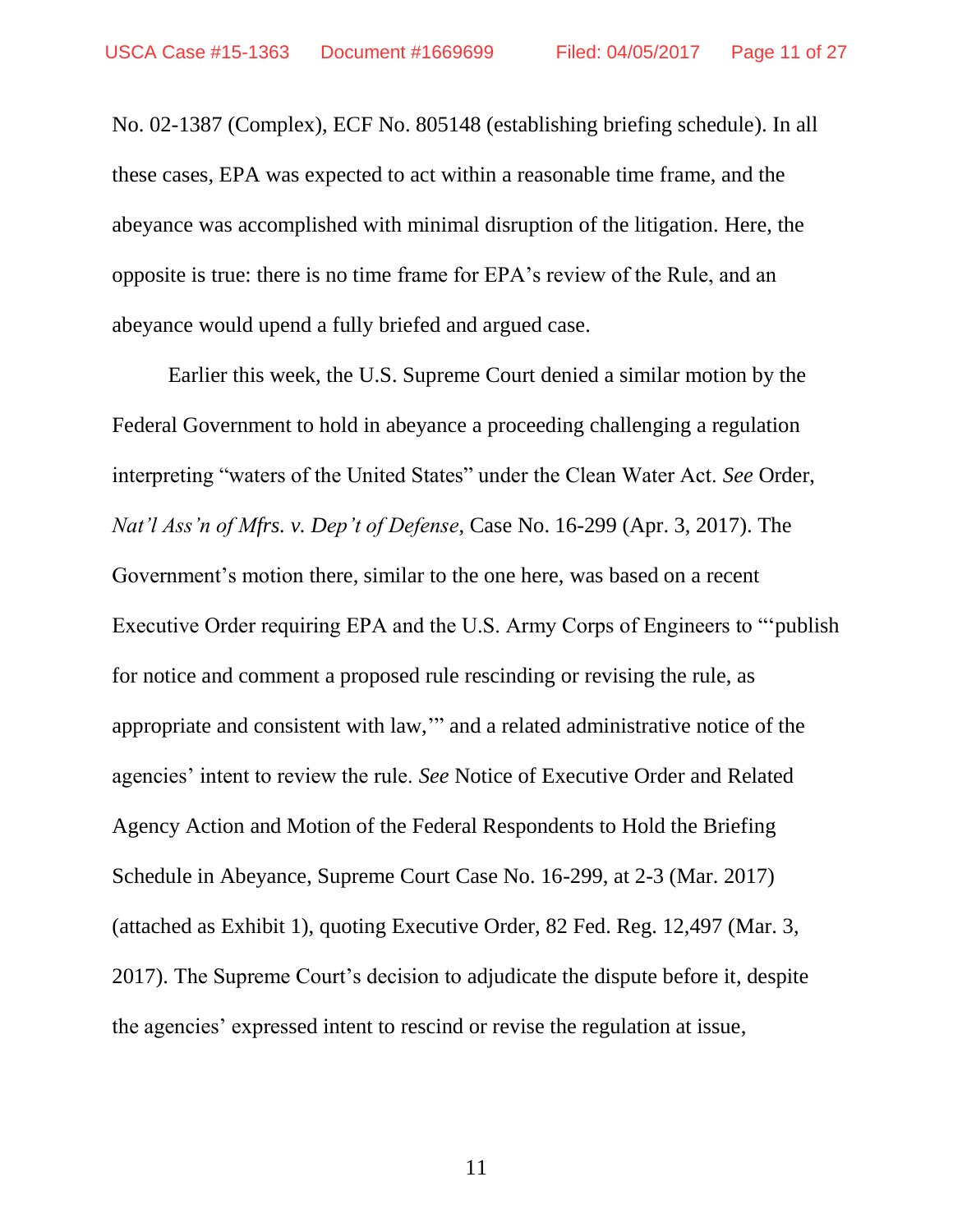No. 02-1387 (Complex), ECF No. 805148 (establishing briefing schedule). In all these cases, EPA was expected to act within a reasonable time frame, and the abeyance was accomplished with minimal disruption of the litigation. Here, the opposite is true: there is no time frame for EPA's review of the Rule, and an abeyance would upend a fully briefed and argued case.

Earlier this week, the U.S. Supreme Court denied a similar motion by the Federal Government to hold in abeyance a proceeding challenging a regulation interpreting "waters of the United States" under the Clean Water Act. *See* Order, *Nat'l Ass'n of Mfrs. v. Dep't of Defense*, Case No. 16-299 (Apr. 3, 2017). The Government's motion there, similar to the one here, was based on a recent Executive Order requiring EPA and the U.S. Army Corps of Engineers to "'publish for notice and comment a proposed rule rescinding or revising the rule, as appropriate and consistent with law,'" and a related administrative notice of the agencies' intent to review the rule. *See* Notice of Executive Order and Related Agency Action and Motion of the Federal Respondents to Hold the Briefing Schedule in Abeyance, Supreme Court Case No. 16-299, at 2-3 (Mar. 2017) (attached as Exhibit 1), quoting Executive Order, 82 Fed. Reg. 12,497 (Mar. 3, 2017). The Supreme Court's decision to adjudicate the dispute before it, despite the agencies' expressed intent to rescind or revise the regulation at issue,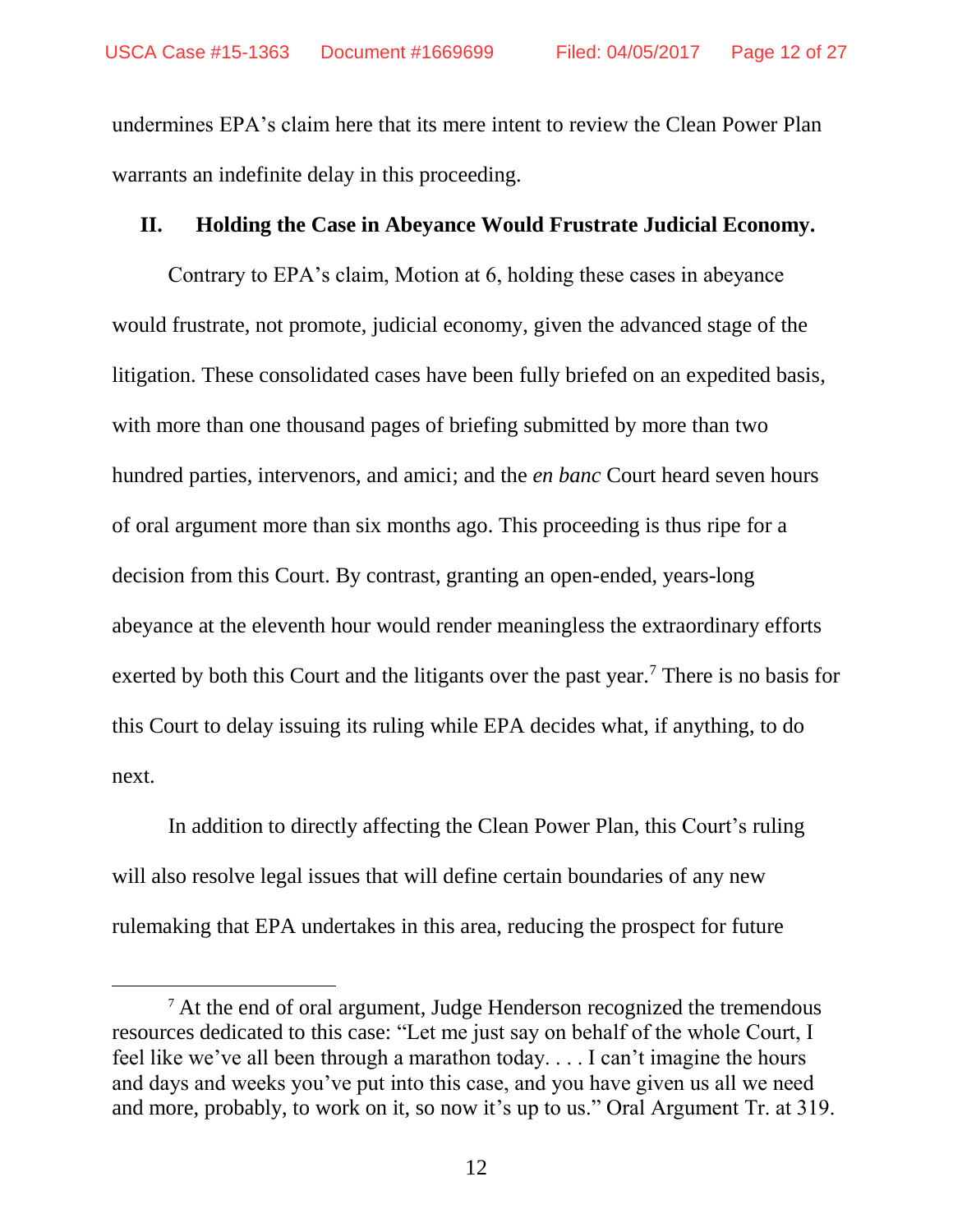undermines EPA's claim here that its mere intent to review the Clean Power Plan warrants an indefinite delay in this proceeding.

### **II. Holding the Case in Abeyance Would Frustrate Judicial Economy.**

Contrary to EPA's claim, Motion at 6, holding these cases in abeyance would frustrate, not promote, judicial economy, given the advanced stage of the litigation. These consolidated cases have been fully briefed on an expedited basis, with more than one thousand pages of briefing submitted by more than two hundred parties, intervenors, and amici; and the *en banc* Court heard seven hours of oral argument more than six months ago. This proceeding is thus ripe for a decision from this Court. By contrast, granting an open-ended, years-long abeyance at the eleventh hour would render meaningless the extraordinary efforts exerted by both this Court and the litigants over the past year.<sup>7</sup> There is no basis for this Court to delay issuing its ruling while EPA decides what, if anything, to do next.

In addition to directly affecting the Clean Power Plan, this Court's ruling will also resolve legal issues that will define certain boundaries of any new rulemaking that EPA undertakes in this area, reducing the prospect for future

 $\overline{a}$ 

<sup>&</sup>lt;sup>7</sup> At the end of oral argument, Judge Henderson recognized the tremendous resources dedicated to this case: "Let me just say on behalf of the whole Court, I feel like we've all been through a marathon today. . . . I can't imagine the hours and days and weeks you've put into this case, and you have given us all we need and more, probably, to work on it, so now it's up to us." Oral Argument Tr. at 319.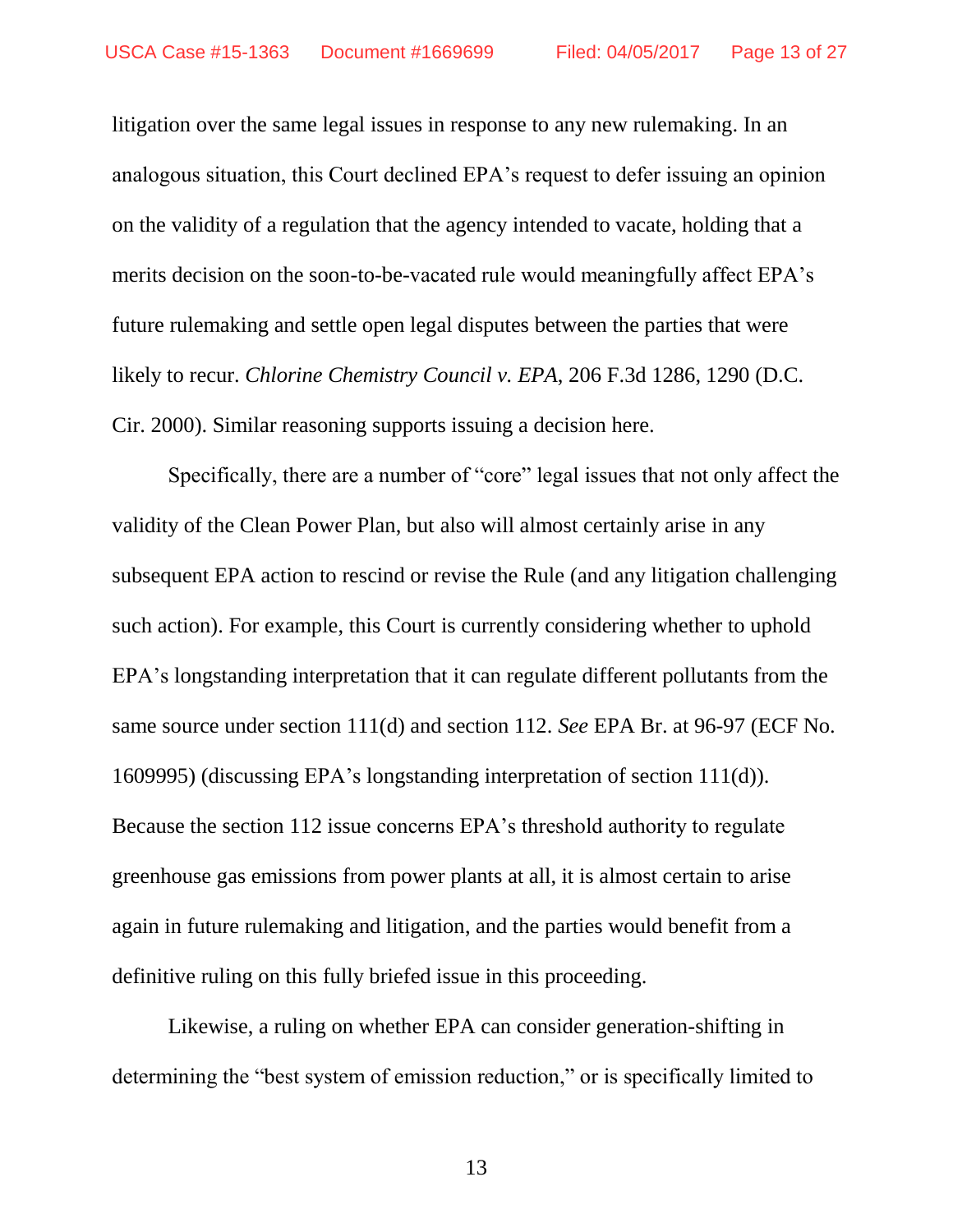litigation over the same legal issues in response to any new rulemaking. In an analogous situation, this Court declined EPA's request to defer issuing an opinion on the validity of a regulation that the agency intended to vacate, holding that a merits decision on the soon-to-be-vacated rule would meaningfully affect EPA's future rulemaking and settle open legal disputes between the parties that were likely to recur. *Chlorine Chemistry Council v. EPA*, 206 F.3d 1286, 1290 (D.C. Cir. 2000). Similar reasoning supports issuing a decision here.

Specifically, there are a number of "core" legal issues that not only affect the validity of the Clean Power Plan, but also will almost certainly arise in any subsequent EPA action to rescind or revise the Rule (and any litigation challenging such action). For example, this Court is currently considering whether to uphold EPA's longstanding interpretation that it can regulate different pollutants from the same source under section 111(d) and section 112. *See* EPA Br. at 96-97 (ECF No. 1609995) (discussing EPA's longstanding interpretation of section 111(d)). Because the section 112 issue concerns EPA's threshold authority to regulate greenhouse gas emissions from power plants at all, it is almost certain to arise again in future rulemaking and litigation, and the parties would benefit from a definitive ruling on this fully briefed issue in this proceeding.

Likewise, a ruling on whether EPA can consider generation-shifting in determining the "best system of emission reduction," or is specifically limited to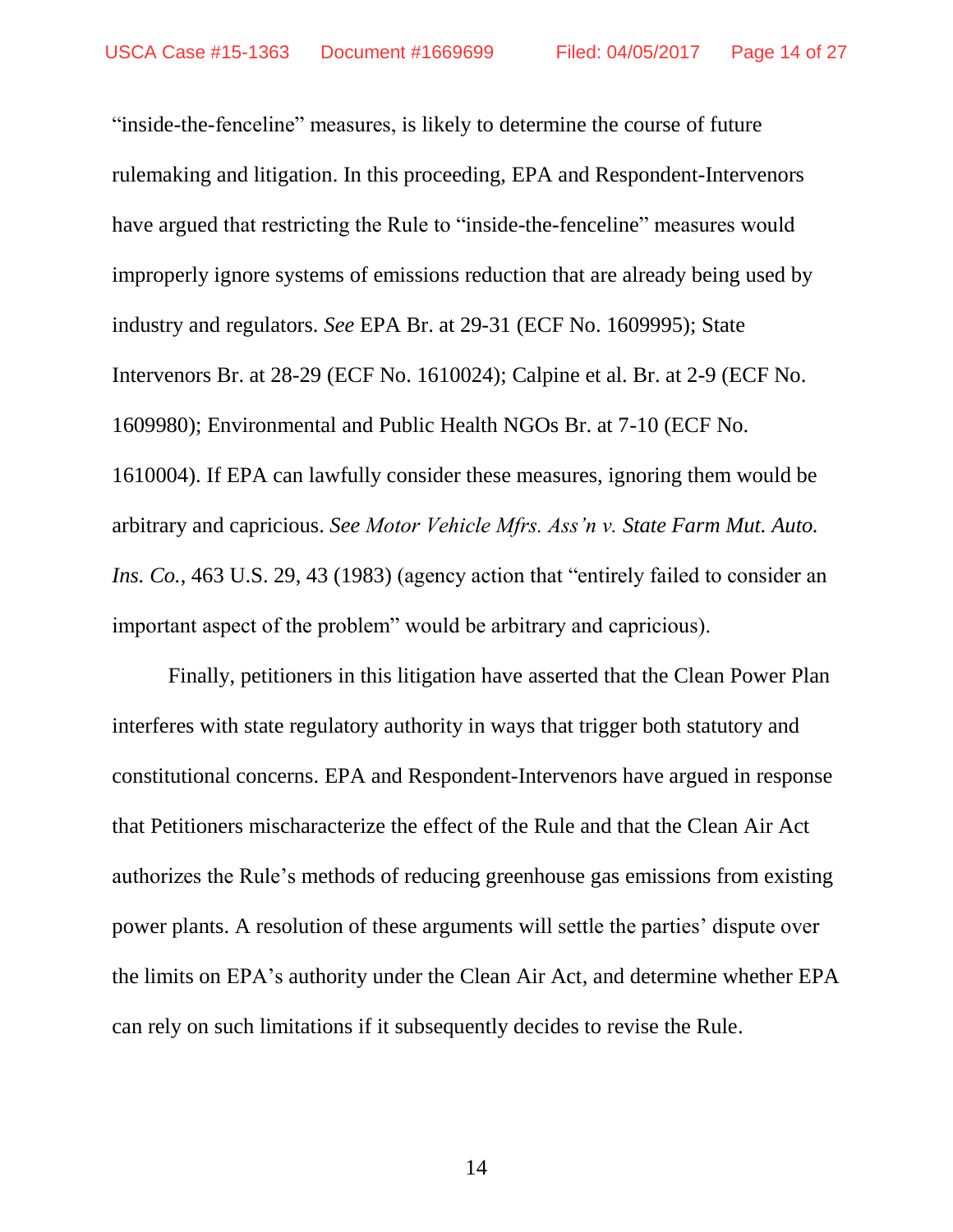"inside-the-fenceline" measures, is likely to determine the course of future rulemaking and litigation. In this proceeding, EPA and Respondent-Intervenors have argued that restricting the Rule to "inside-the-fenceline" measures would improperly ignore systems of emissions reduction that are already being used by industry and regulators. *See* EPA Br. at 29-31 (ECF No. 1609995); State Intervenors Br. at 28-29 (ECF No. 1610024); Calpine et al. Br. at 2-9 (ECF No. 1609980); Environmental and Public Health NGOs Br. at 7-10 (ECF No. 1610004). If EPA can lawfully consider these measures, ignoring them would be arbitrary and capricious. *See Motor Vehicle Mfrs. Ass'n v. State Farm Mut. Auto. Ins. Co.*, 463 U.S. 29, 43 (1983) (agency action that "entirely failed to consider an important aspect of the problem" would be arbitrary and capricious).

Finally, petitioners in this litigation have asserted that the Clean Power Plan interferes with state regulatory authority in ways that trigger both statutory and constitutional concerns. EPA and Respondent-Intervenors have argued in response that Petitioners mischaracterize the effect of the Rule and that the Clean Air Act authorizes the Rule's methods of reducing greenhouse gas emissions from existing power plants. A resolution of these arguments will settle the parties' dispute over the limits on EPA's authority under the Clean Air Act, and determine whether EPA can rely on such limitations if it subsequently decides to revise the Rule.

14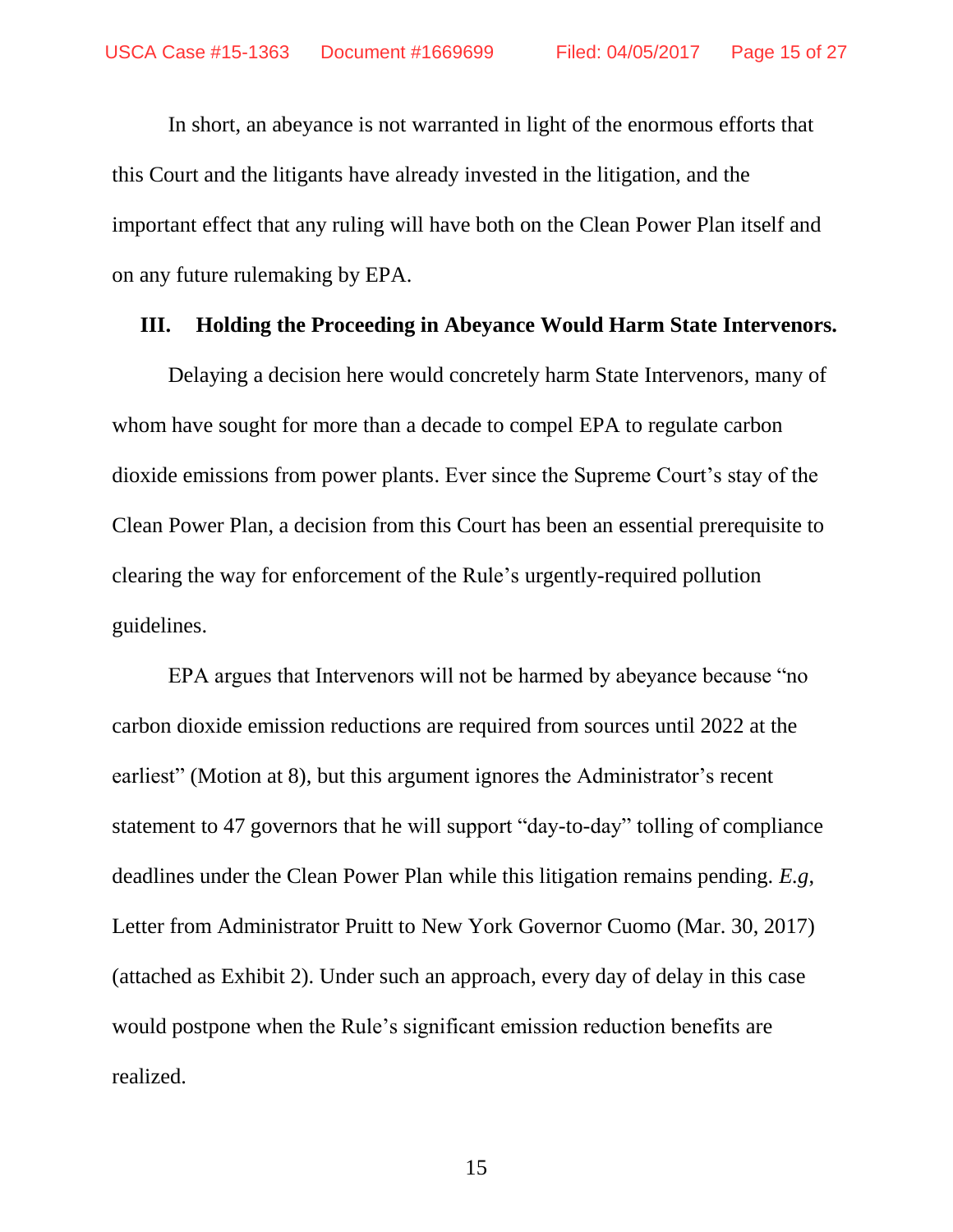In short, an abeyance is not warranted in light of the enormous efforts that this Court and the litigants have already invested in the litigation, and the important effect that any ruling will have both on the Clean Power Plan itself and on any future rulemaking by EPA.

#### **III. Holding the Proceeding in Abeyance Would Harm State Intervenors.**

Delaying a decision here would concretely harm State Intervenors, many of whom have sought for more than a decade to compel EPA to regulate carbon dioxide emissions from power plants. Ever since the Supreme Court's stay of the Clean Power Plan, a decision from this Court has been an essential prerequisite to clearing the way for enforcement of the Rule's urgently-required pollution guidelines.

EPA argues that Intervenors will not be harmed by abeyance because "no carbon dioxide emission reductions are required from sources until 2022 at the earliest" (Motion at 8), but this argument ignores the Administrator's recent statement to 47 governors that he will support "day-to-day" tolling of compliance deadlines under the Clean Power Plan while this litigation remains pending. *E.g*, Letter from Administrator Pruitt to New York Governor Cuomo (Mar. 30, 2017) (attached as Exhibit 2). Under such an approach, every day of delay in this case would postpone when the Rule's significant emission reduction benefits are realized.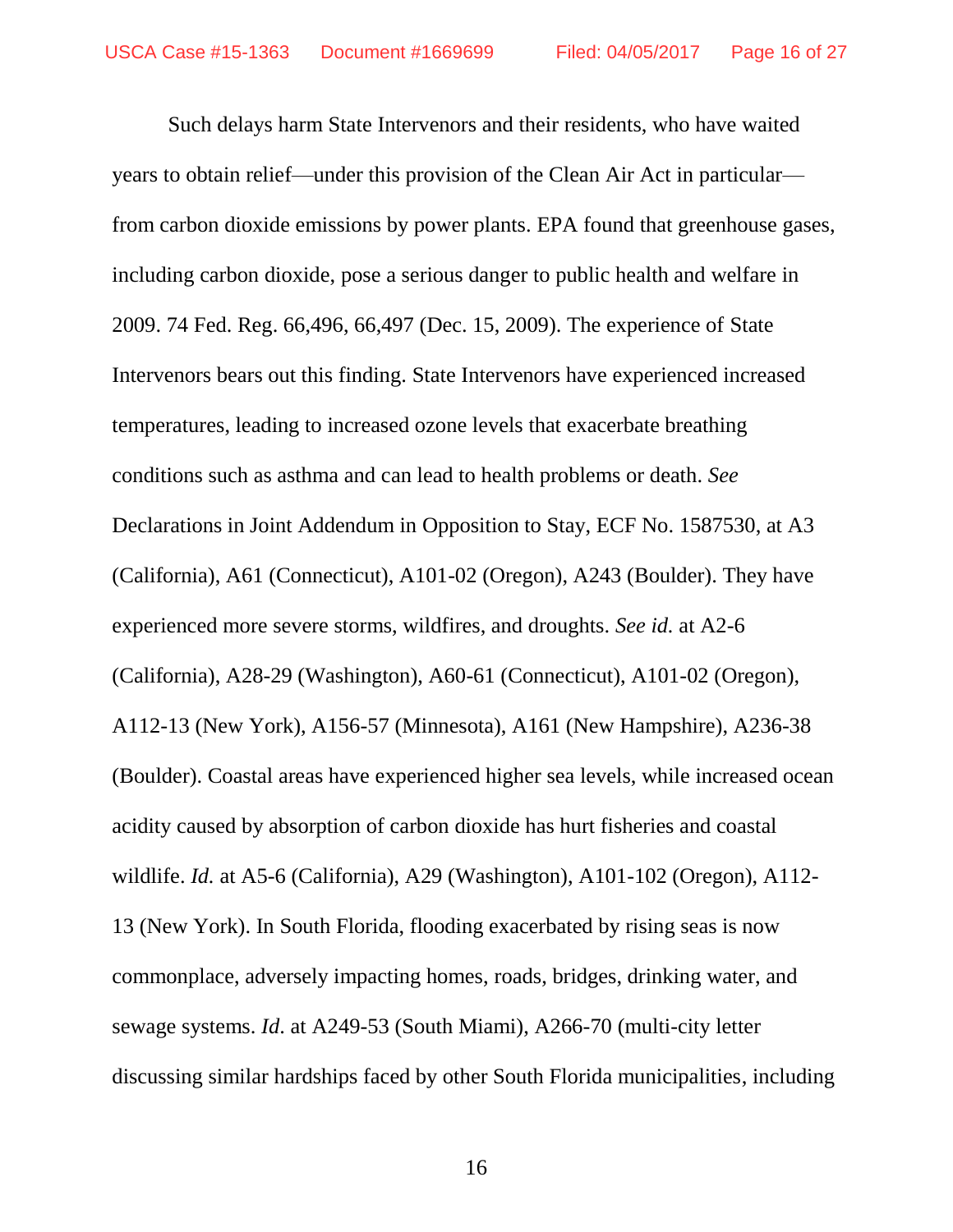Such delays harm State Intervenors and their residents, who have waited years to obtain relief—under this provision of the Clean Air Act in particular from carbon dioxide emissions by power plants. EPA found that greenhouse gases, including carbon dioxide, pose a serious danger to public health and welfare in 2009. 74 Fed. Reg. 66,496, 66,497 (Dec. 15, 2009). The experience of State Intervenors bears out this finding. State Intervenors have experienced increased temperatures, leading to increased ozone levels that exacerbate breathing conditions such as asthma and can lead to health problems or death. *See*  Declarations in Joint Addendum in Opposition to Stay, ECF No. 1587530, at A3 (California), A61 (Connecticut), A101-02 (Oregon), A243 (Boulder). They have experienced more severe storms, wildfires, and droughts. *See id.* at A2-6 (California), A28-29 (Washington), A60-61 (Connecticut), A101-02 (Oregon), A112-13 (New York), A156-57 (Minnesota), A161 (New Hampshire), A236-38 (Boulder). Coastal areas have experienced higher sea levels, while increased ocean acidity caused by absorption of carbon dioxide has hurt fisheries and coastal wildlife. *Id.* at A5-6 (California), A29 (Washington), A101-102 (Oregon), A112- 13 (New York). In South Florida, flooding exacerbated by rising seas is now commonplace, adversely impacting homes, roads, bridges, drinking water, and sewage systems. *Id*. at A249-53 (South Miami), A266-70 (multi-city letter discussing similar hardships faced by other South Florida municipalities, including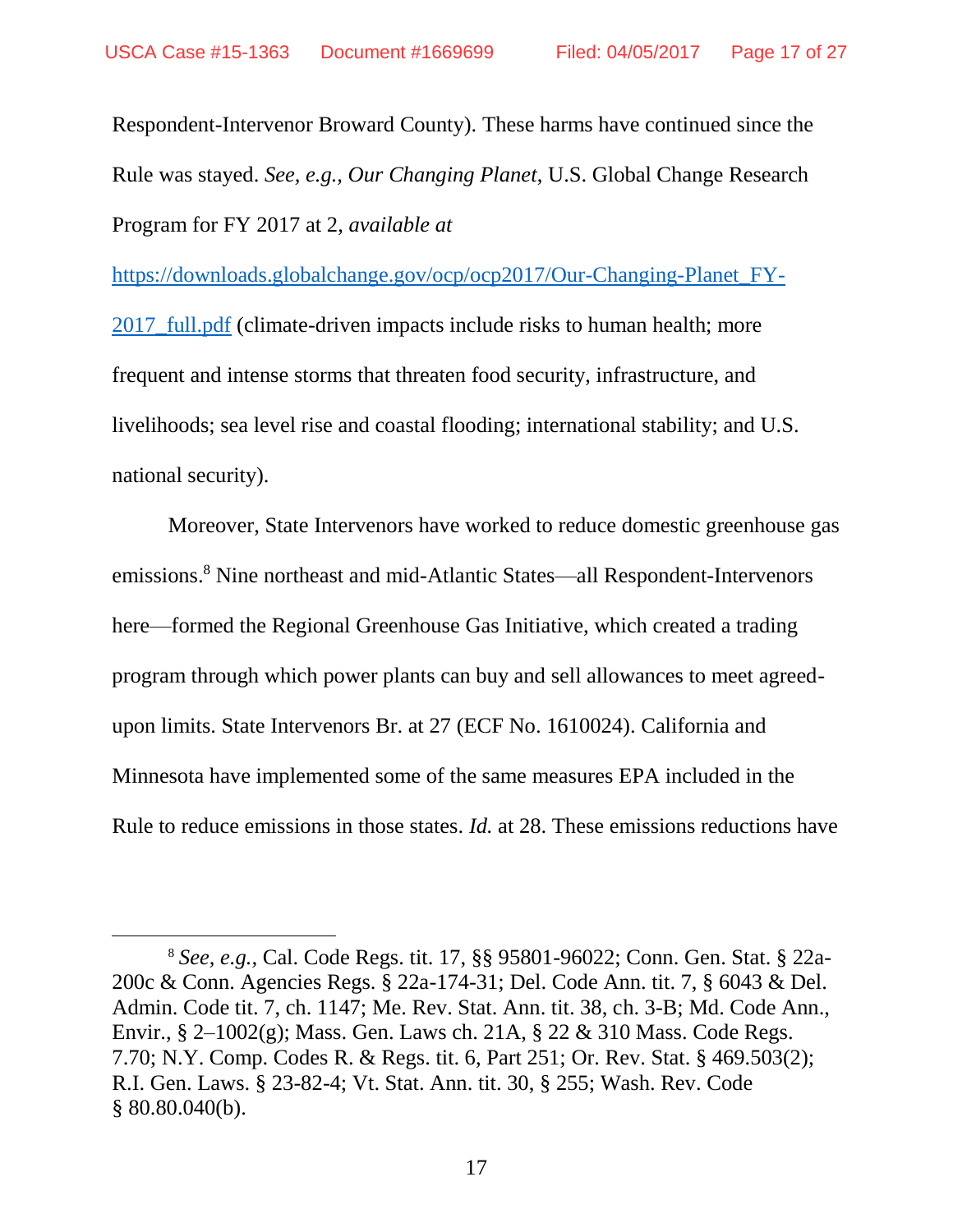$\overline{a}$ 

Respondent-Intervenor Broward County). These harms have continued since the Rule was stayed. *See, e.g., Our Changing Planet*, U.S. Global Change Research Program for FY 2017 at 2, *available at*

[https://downloads.globalchange.gov/ocp/ocp2017/Our-Changing-Planet\\_FY-](https://downloads.globalchange.gov/ocp/ocp2017/Our-Changing-Planet_FY-2017_full.pdf)

2017 full.pdf (climate-driven impacts include risks to human health; more frequent and intense storms that threaten food security, infrastructure, and livelihoods; sea level rise and coastal flooding; international stability; and U.S. national security).

Moreover, State Intervenors have worked to reduce domestic greenhouse gas emissions.<sup>8</sup> Nine northeast and mid-Atlantic States—all Respondent-Intervenors here—formed the Regional Greenhouse Gas Initiative, which created a trading program through which power plants can buy and sell allowances to meet agreedupon limits. State Intervenors Br. at 27 (ECF No. 1610024). California and Minnesota have implemented some of the same measures EPA included in the Rule to reduce emissions in those states. *Id.* at 28. These emissions reductions have

<sup>8</sup> *See, e.g.,* Cal. Code Regs. tit. 17, §§ 95801-96022; Conn. Gen. Stat. § 22a-200c & Conn. Agencies Regs. § 22a-174-31; Del. Code Ann. tit. 7, § 6043 & Del. Admin. Code tit. 7, ch. 1147; Me. Rev. Stat. Ann. tit. 38, ch. 3-B; Md. Code Ann., Envir., § 2–1002(g); Mass. Gen. Laws ch. 21A, § 22 & 310 Mass. Code Regs. 7.70; N.Y. Comp. Codes R. & Regs. tit. 6, Part 251; Or. Rev. Stat. § 469.503(2); R.I. Gen. Laws. § 23-82-4; Vt. Stat. Ann. tit. 30, § 255; Wash. Rev. Code § 80.80.040(b).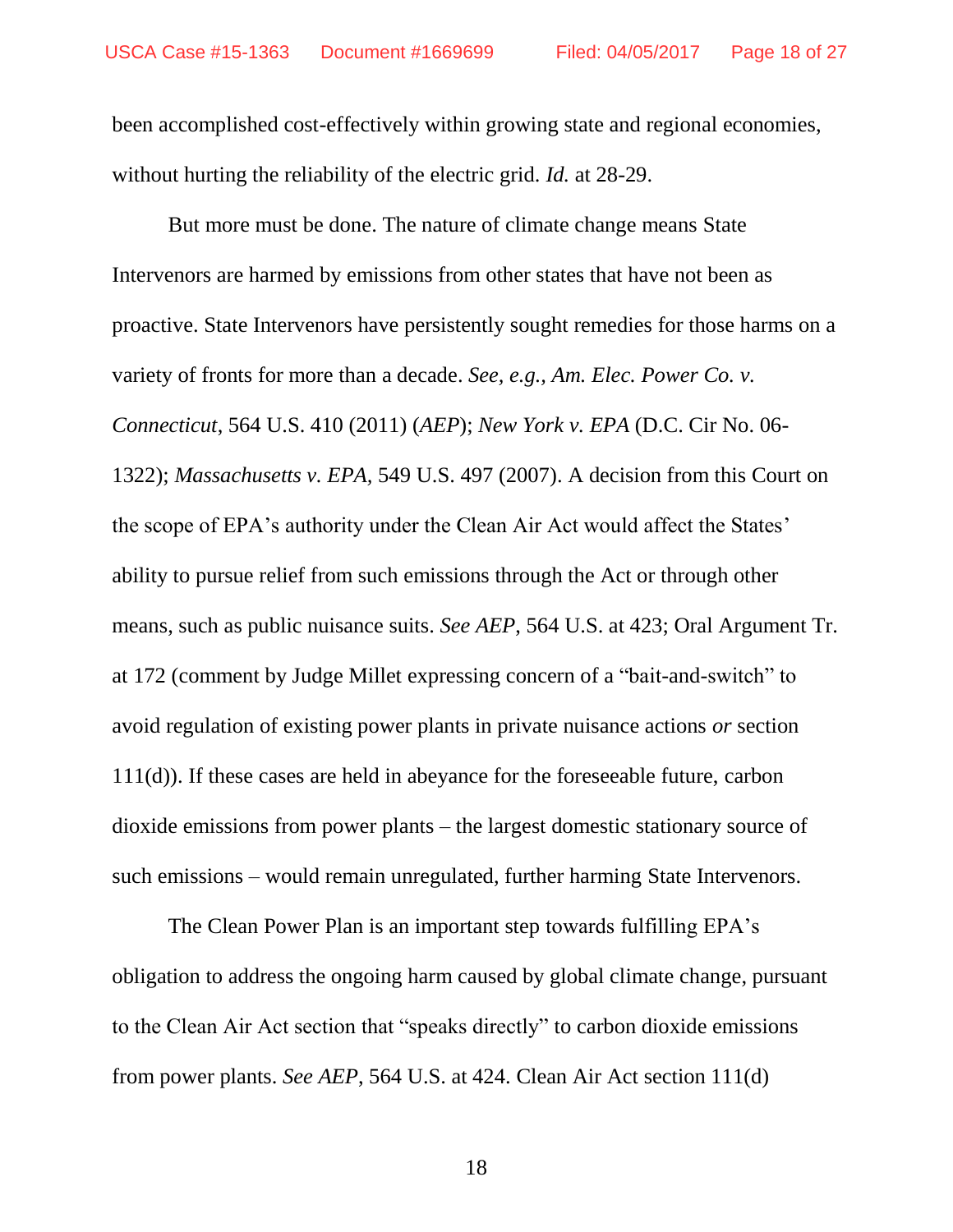been accomplished cost-effectively within growing state and regional economies, without hurting the reliability of the electric grid. *Id.* at 28-29.

But more must be done. The nature of climate change means State Intervenors are harmed by emissions from other states that have not been as proactive. State Intervenors have persistently sought remedies for those harms on a variety of fronts for more than a decade. *See, e.g., Am. Elec. Power Co. v. Connecticut*, 564 U.S. 410 (2011) (*AEP*); *New York v. EPA* (D.C. Cir No. 06- 1322); *Massachusetts v. EPA,* 549 U.S. 497 (2007). A decision from this Court on the scope of EPA's authority under the Clean Air Act would affect the States' ability to pursue relief from such emissions through the Act or through other means, such as public nuisance suits. *See AEP*, 564 U.S. at 423; Oral Argument Tr. at 172 (comment by Judge Millet expressing concern of a "bait-and-switch" to avoid regulation of existing power plants in private nuisance actions *or* section 111(d)). If these cases are held in abeyance for the foreseeable future, carbon dioxide emissions from power plants – the largest domestic stationary source of such emissions – would remain unregulated, further harming State Intervenors.

The Clean Power Plan is an important step towards fulfilling EPA's obligation to address the ongoing harm caused by global climate change, pursuant to the Clean Air Act section that "speaks directly" to carbon dioxide emissions from power plants. *See AEP*, 564 U.S. at 424. Clean Air Act section 111(d)

18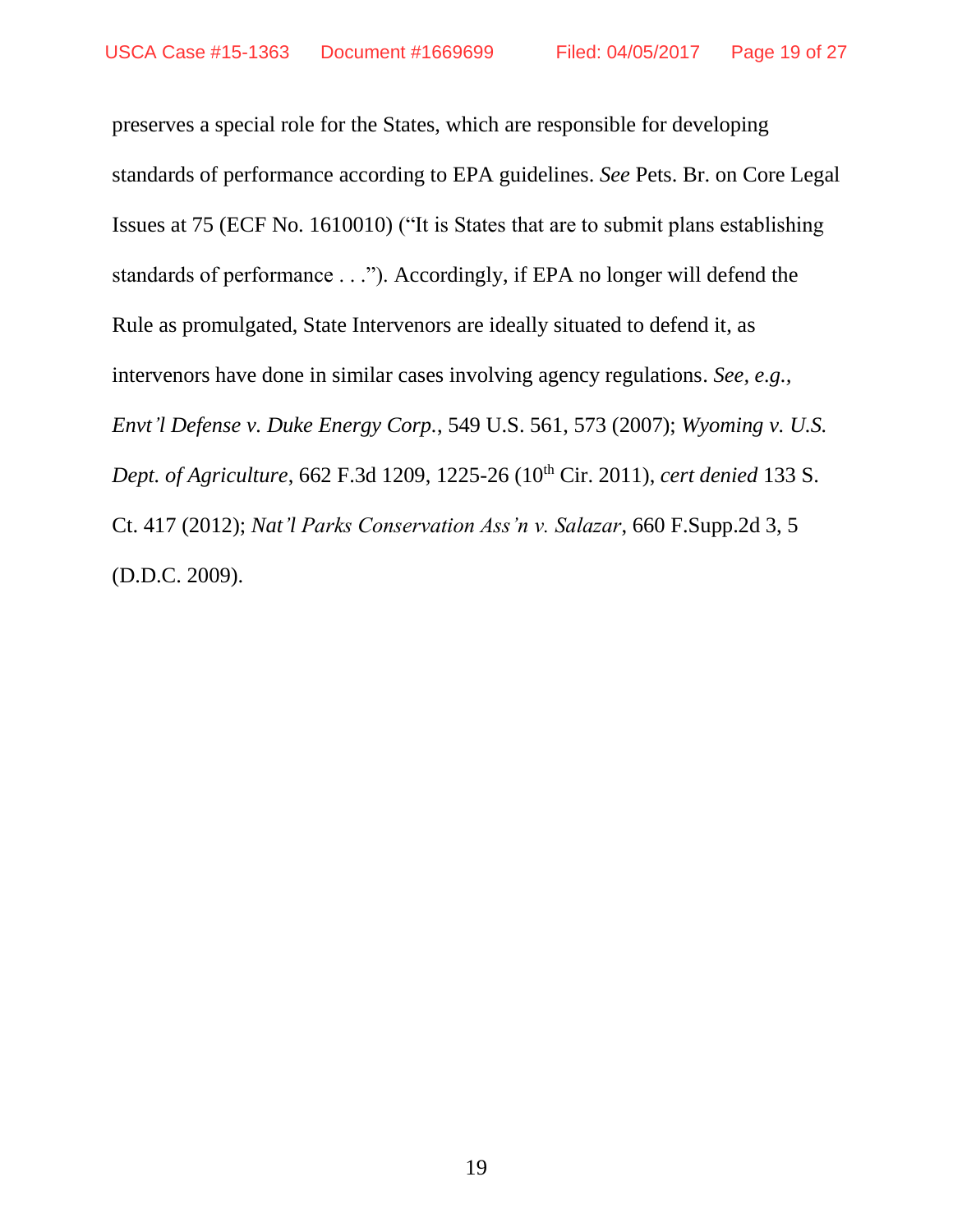preserves a special role for the States, which are responsible for developing standards of performance according to EPA guidelines. *See* Pets. Br. on Core Legal Issues at 75 (ECF No. 1610010) ("It is States that are to submit plans establishing standards of performance . . ."). Accordingly, if EPA no longer will defend the Rule as promulgated, State Intervenors are ideally situated to defend it, as intervenors have done in similar cases involving agency regulations. *See, e.g., Envt'l Defense v. Duke Energy Corp.*, 549 U.S. 561, 573 (2007); *Wyoming v. U.S. Dept. of Agriculture*, 662 F.3d 1209, 1225-26 (10th Cir. 2011), *cert denied* 133 S. Ct. 417 (2012); *Nat'l Parks Conservation Ass'n v. Salazar*, 660 F.Supp.2d 3, 5 (D.D.C. 2009).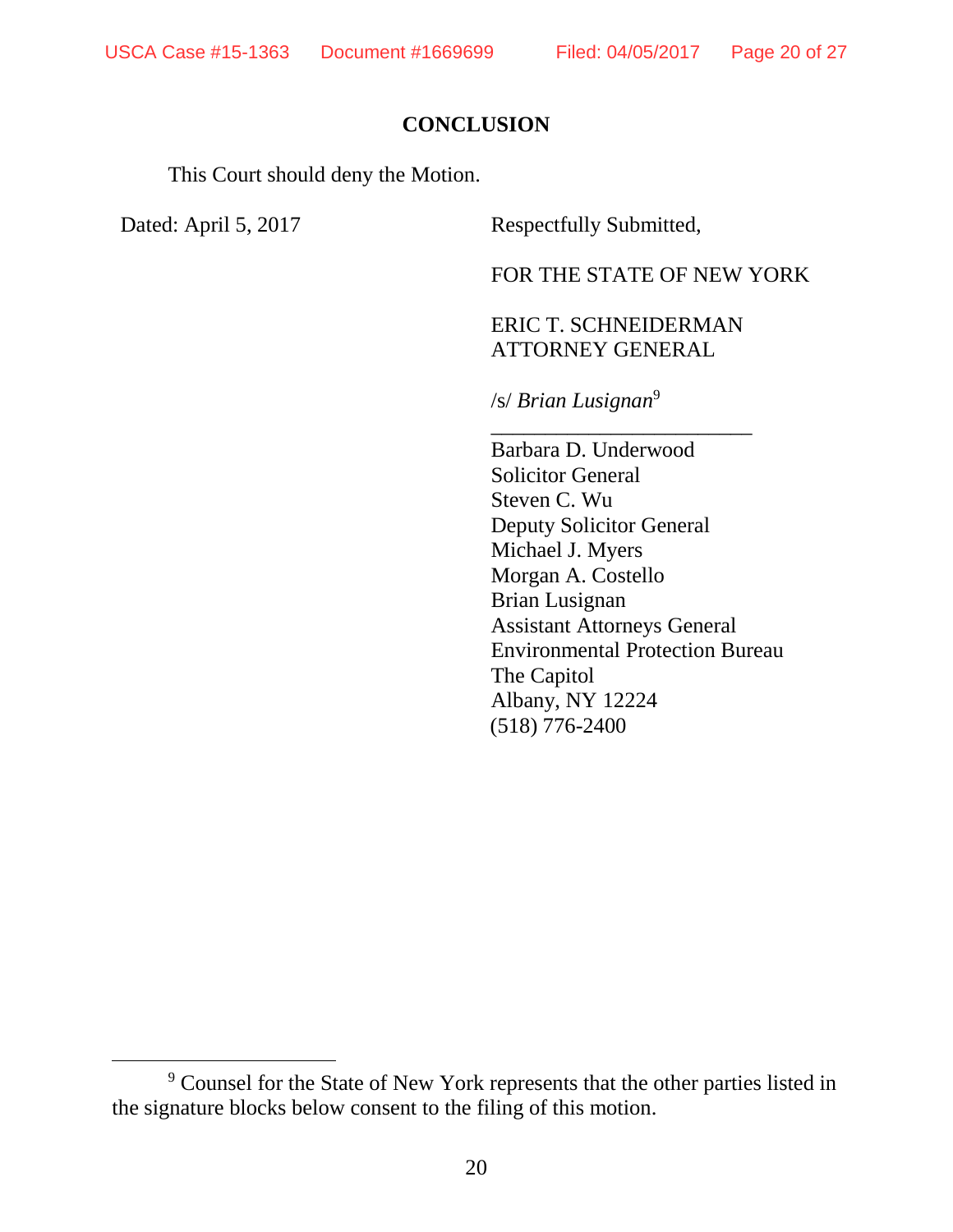## **CONCLUSION**

This Court should deny the Motion.

 $\overline{a}$ 

Dated: April 5, 2017 Respectfully Submitted,

FOR THE STATE OF NEW YORK

## ERIC T. SCHNEIDERMAN ATTORNEY GENERAL

\_\_\_\_\_\_\_\_\_\_\_\_\_\_\_\_\_\_\_\_\_\_\_\_

/s/ *Brian Lusignan*<sup>9</sup>

Barbara D. Underwood Solicitor General Steven C. Wu Deputy Solicitor General Michael J. Myers Morgan A. Costello Brian Lusignan Assistant Attorneys General Environmental Protection Bureau The Capitol Albany, NY 12224 (518) 776-2400

<sup>9</sup> Counsel for the State of New York represents that the other parties listed in the signature blocks below consent to the filing of this motion.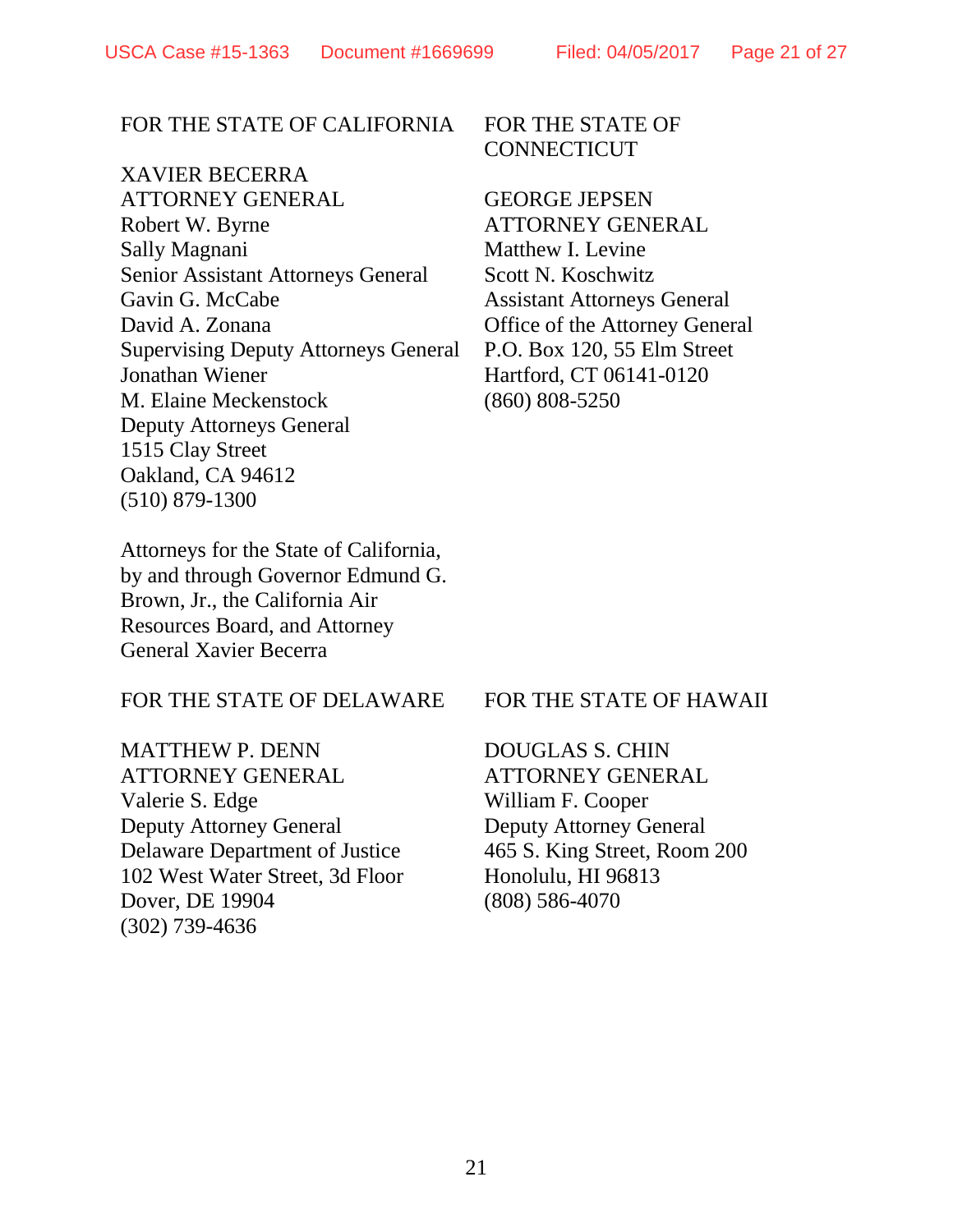#### FOR THE STATE OF CALIFORNIA

## XAVIER BECERRA

ATTORNEY GENERAL Robert W. Byrne Sally Magnani Senior Assistant Attorneys General Gavin G. McCabe David A. Zonana Supervising Deputy Attorneys General Jonathan Wiener M. Elaine Meckenstock Deputy Attorneys General 1515 Clay Street Oakland, CA 94612 (510) 879-1300

FOR THE STATE OF **CONNECTICUT** 

GEORGE JEPSEN ATTORNEY GENERAL Matthew I. Levine Scott N. Koschwitz Assistant Attorneys General Office of the Attorney General P.O. Box 120, 55 Elm Street Hartford, CT 06141-0120 (860) 808-5250

Attorneys for the State of California, by and through Governor Edmund G. Brown, Jr., the California Air Resources Board, and Attorney General Xavier Becerra

#### FOR THE STATE OF DELAWARE

MATTHEW P. DENN ATTORNEY GENERAL Valerie S. Edge Deputy Attorney General Delaware Department of Justice 102 West Water Street, 3d Floor Dover, DE 19904 (302) 739-4636

#### FOR THE STATE OF HAWAII

DOUGLAS S. CHIN ATTORNEY GENERAL William F. Cooper Deputy Attorney General 465 S. King Street, Room 200 Honolulu, HI 96813 (808) 586-4070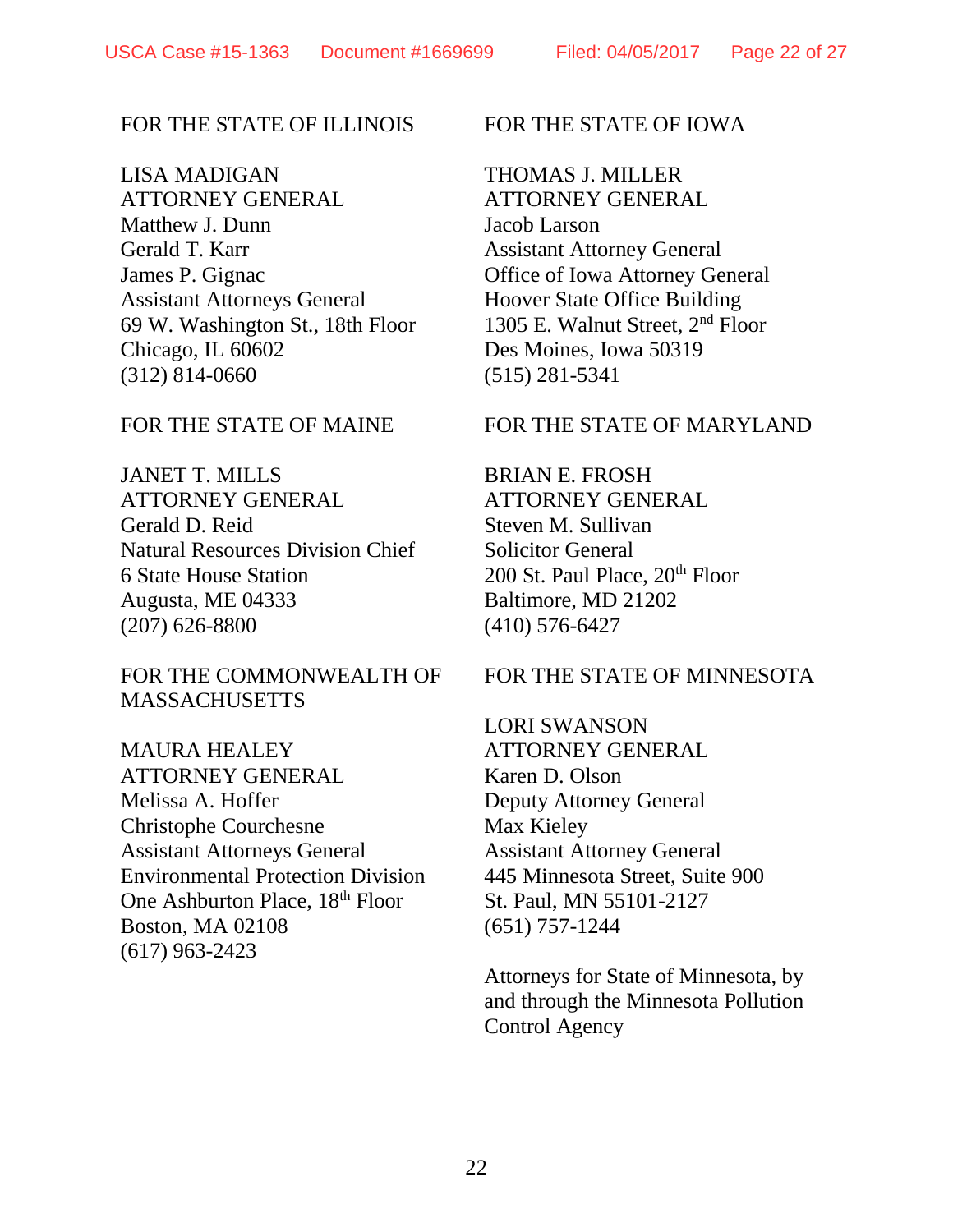## FOR THE STATE OF ILLINOIS

LISA MADIGAN ATTORNEY GENERAL Matthew J. Dunn Gerald T. Karr James P. Gignac Assistant Attorneys General 69 W. Washington St., 18th Floor Chicago, IL 60602 (312) 814-0660

FOR THE STATE OF MAINE

JANET T. MILLS ATTORNEY GENERAL Gerald D. Reid Natural Resources Division Chief 6 State House Station Augusta, ME 04333 (207) 626-8800

FOR THE COMMONWEALTH OF **MASSACHUSETTS** 

MAURA HEALEY ATTORNEY GENERAL Melissa A. Hoffer Christophe Courchesne Assistant Attorneys General Environmental Protection Division One Ashburton Place, 18th Floor Boston, MA 02108 (617) 963-2423

FOR THE STATE OF IOWA

THOMAS J. MILLER

ATTORNEY GENERAL Jacob Larson Assistant Attorney General Office of Iowa Attorney General Hoover State Office Building 1305 E. Walnut Street, 2nd Floor Des Moines, Iowa 50319 (515) 281-5341

FOR THE STATE OF MARYLAND

BRIAN E. FROSH ATTORNEY GENERAL Steven M. Sullivan Solicitor General 200 St. Paul Place, 20<sup>th</sup> Floor Baltimore, MD 21202 (410) 576-6427

## FOR THE STATE OF MINNESOTA

LORI SWANSON ATTORNEY GENERAL Karen D. Olson Deputy Attorney General Max Kieley Assistant Attorney General 445 Minnesota Street, Suite 900 St. Paul, MN 55101-2127 (651) 757-1244

Attorneys for State of Minnesota, by and through the Minnesota Pollution Control Agency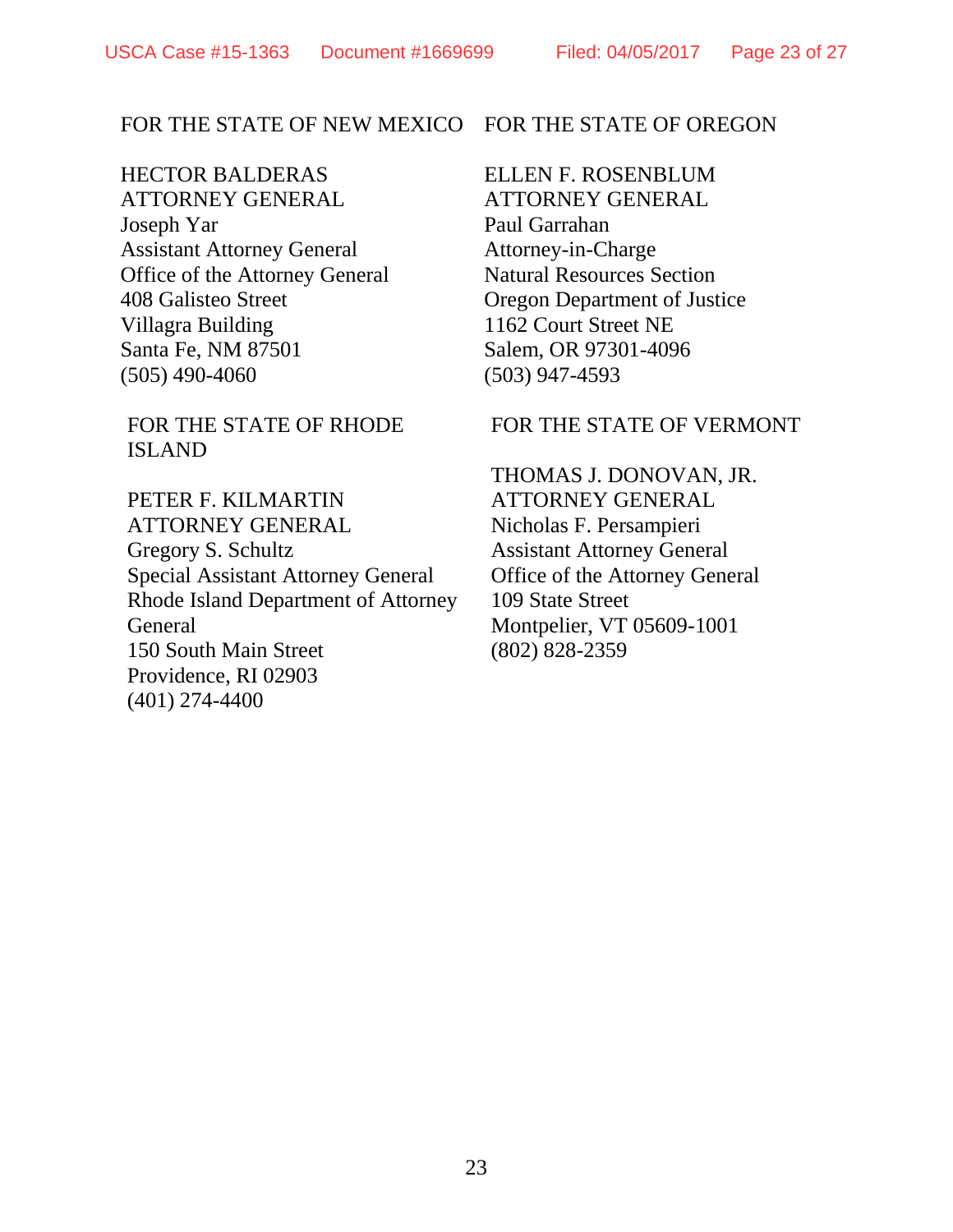#### FOR THE STATE OF NEW MEXICO

HECTOR BALDERAS ATTORNEY GENERAL Joseph Yar Assistant Attorney General Office of the Attorney General 408 Galisteo Street Villagra Building Santa Fe, NM 87501 (505) 490-4060

FOR THE STATE OF RHODE ISLAND

PETER F. KILMARTIN ATTORNEY GENERAL Gregory S. Schultz Special Assistant Attorney General Rhode Island Department of Attorney General 150 South Main Street Providence, RI 02903 (401) 274-4400

FOR THE STATE OF OREGON

ELLEN F. ROSENBLUM ATTORNEY GENERAL Paul Garrahan Attorney-in-Charge Natural Resources Section Oregon Department of Justice 1162 Court Street NE Salem, OR 97301-4096 (503) 947-4593

FOR THE STATE OF VERMONT

THOMAS J. DONOVAN, JR. ATTORNEY GENERAL Nicholas F. Persampieri Assistant Attorney General Office of the Attorney General 109 State Street Montpelier, VT 05609-1001 (802) 828-2359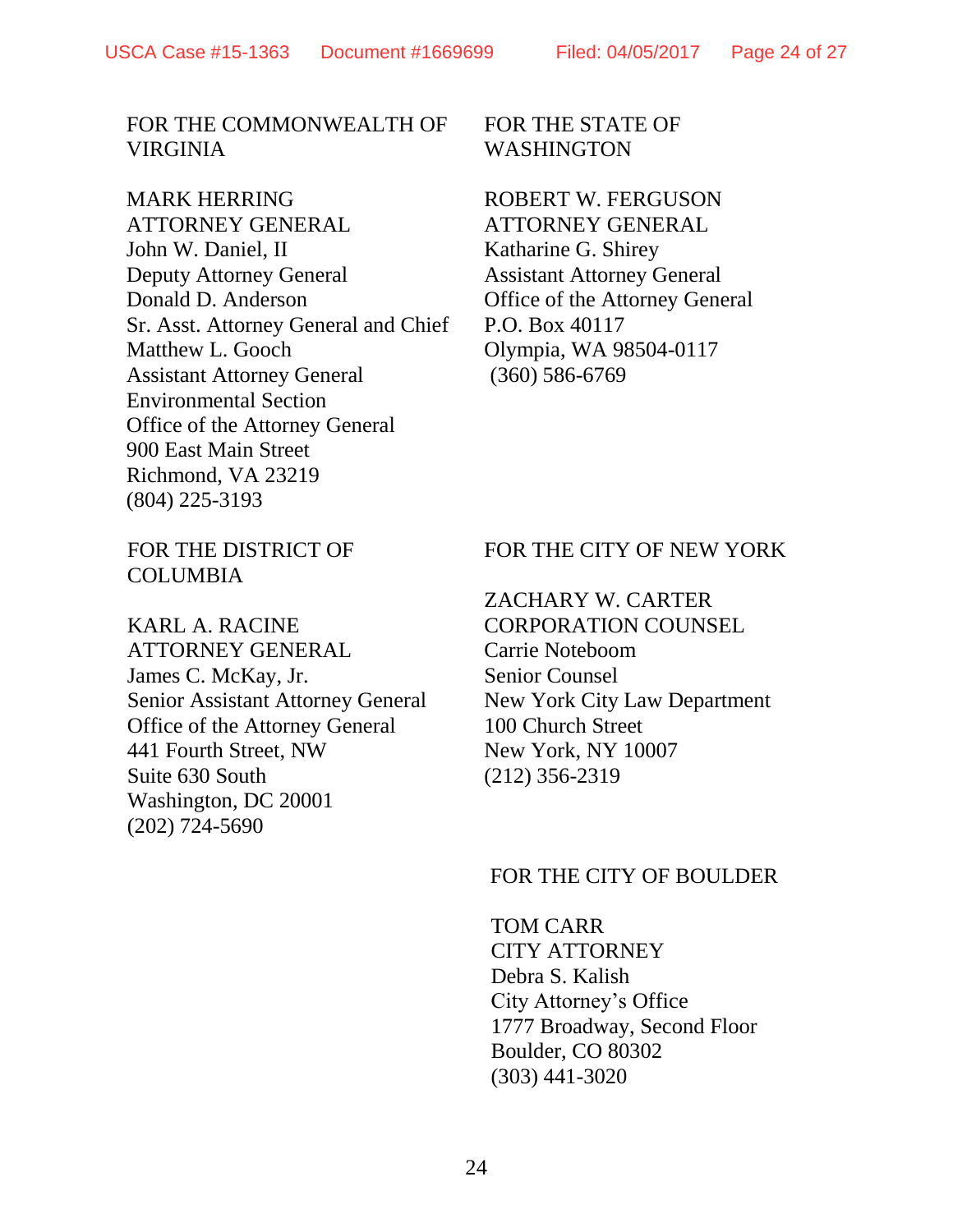### FOR THE COMMONWEALTH OF VIRGINIA

#### MARK HERRING

ATTORNEY GENERAL John W. Daniel, II Deputy Attorney General Donald D. Anderson Sr. Asst. Attorney General and Chief Matthew L. Gooch Assistant Attorney General Environmental Section Office of the Attorney General 900 East Main Street Richmond, VA 23219 (804) 225-3193

FOR THE STATE OF WASHINGTON

ROBERT W. FERGUSON ATTORNEY GENERAL Katharine G. Shirey Assistant Attorney General Office of the Attorney General P.O. Box 40117 Olympia, WA 98504-0117 (360) 586-6769

## FOR THE DISTRICT OF **COLUMBIA**

KARL A. RACINE ATTORNEY GENERAL James C. McKay, Jr. Senior Assistant Attorney General Office of the Attorney General 441 Fourth Street, NW Suite 630 South Washington, DC 20001 (202) 724-5690

## FOR THE CITY OF NEW YORK

## ZACHARY W. CARTER CORPORATION COUNSEL Carrie Noteboom Senior Counsel New York City Law Department

100 Church Street New York, NY 10007 (212) 356-2319

## FOR THE CITY OF BOULDER

TOM CARR CITY ATTORNEY Debra S. Kalish City Attorney's Office 1777 Broadway, Second Floor Boulder, CO 80302 (303) 441-3020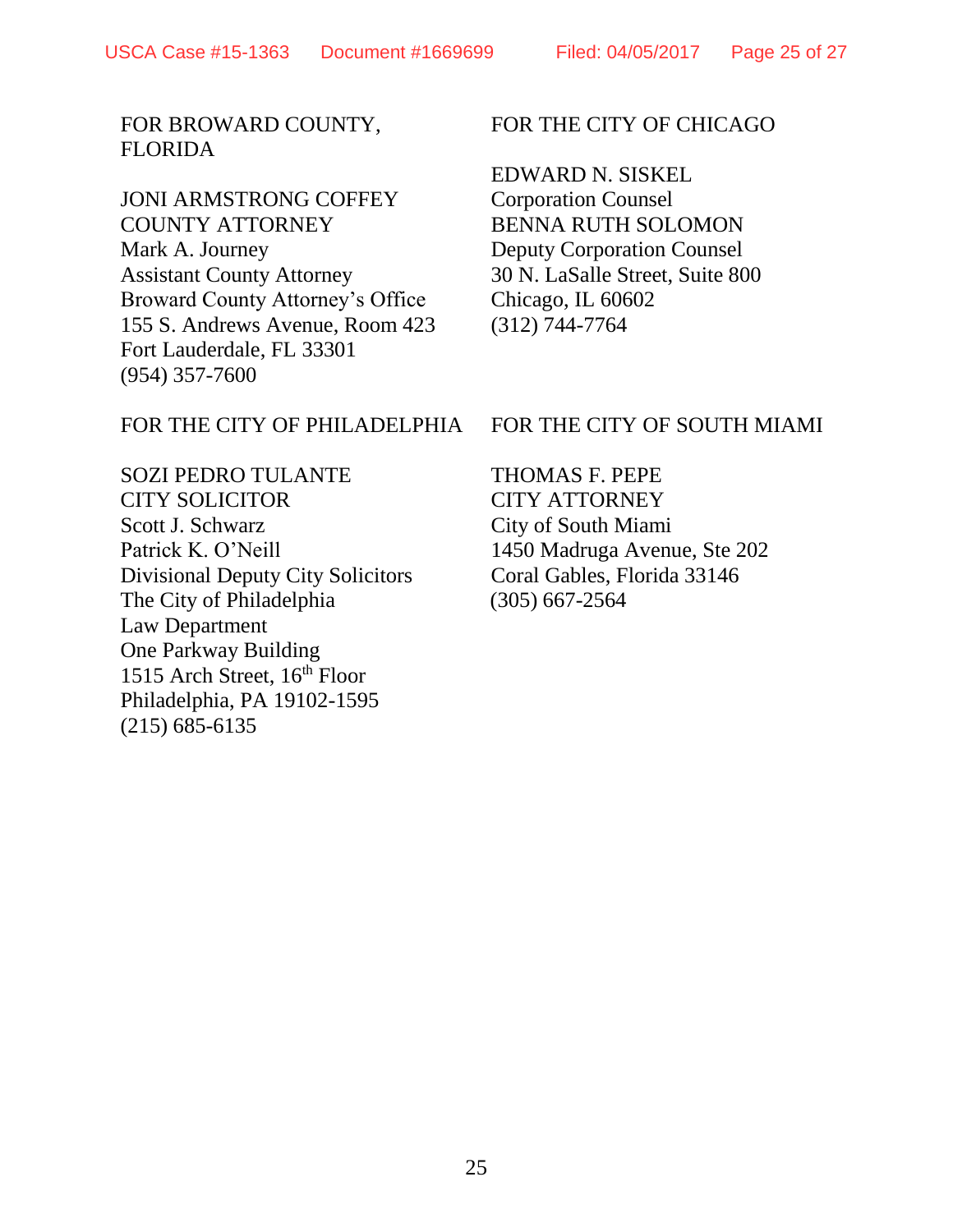## FOR BROWARD COUNTY, FLORIDA

## JONI ARMSTRONG COFFEY COUNTY ATTORNEY Mark A. Journey Assistant County Attorney Broward County Attorney's Office 155 S. Andrews Avenue, Room 423 Fort Lauderdale, FL 33301 (954) 357-7600

# FOR THE CITY OF CHICAGO

EDWARD N. SISKEL Corporation Counsel BENNA RUTH SOLOMON Deputy Corporation Counsel 30 N. LaSalle Street, Suite 800 Chicago, IL 60602 (312) 744-7764

# FOR THE CITY OF PHILADELPHIA

SOZI PEDRO TULANTE CITY SOLICITOR Scott J. Schwarz Patrick K. O'Neill Divisional Deputy City Solicitors The City of Philadelphia Law Department One Parkway Building 1515 Arch Street, 16<sup>th</sup> Floor Philadelphia, PA 19102-1595 (215) 685-6135

# FOR THE CITY OF SOUTH MIAMI

THOMAS F. PEPE CITY ATTORNEY City of South Miami 1450 Madruga Avenue, Ste 202 Coral Gables, Florida 33146 (305) 667-2564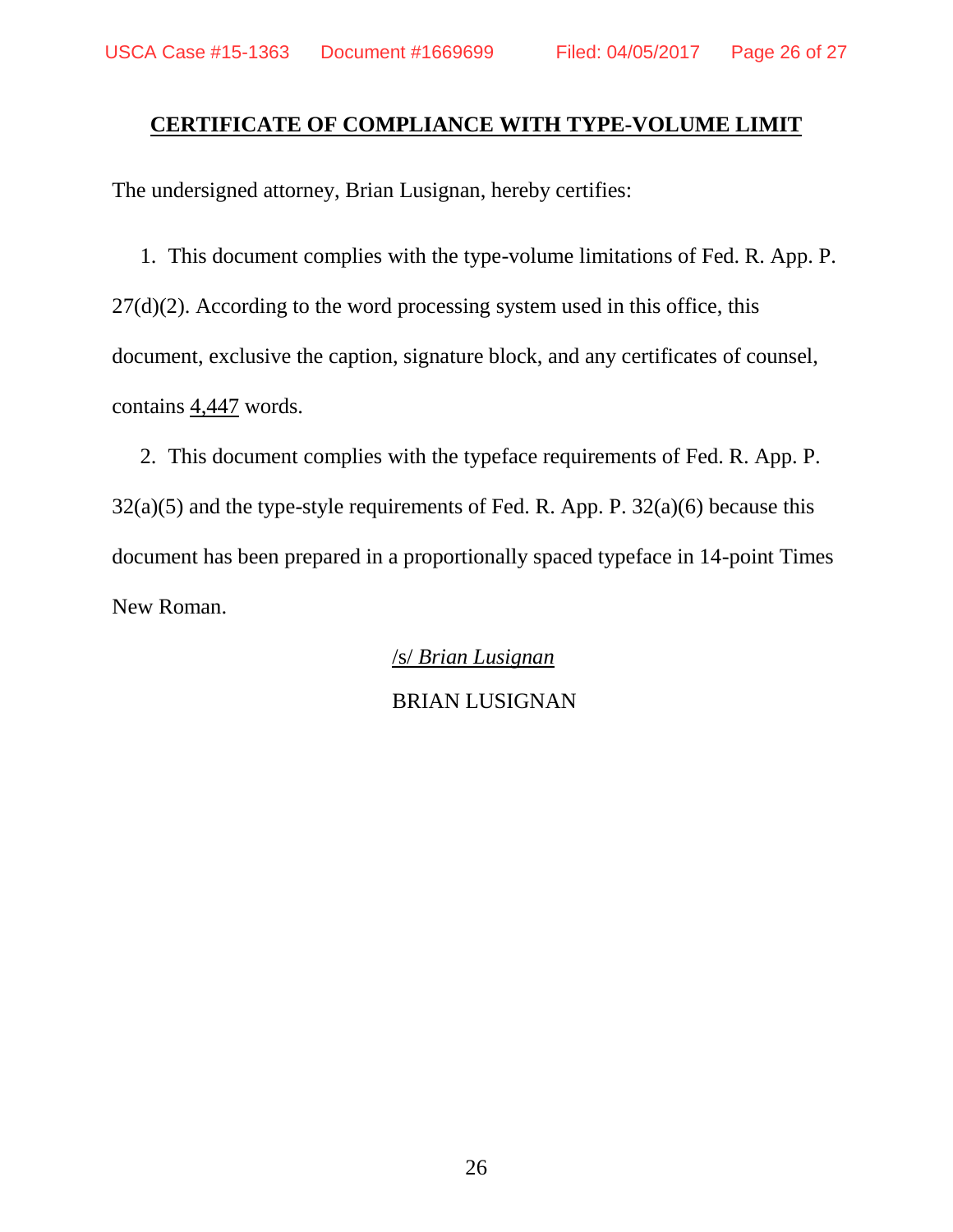## **CERTIFICATE OF COMPLIANCE WITH TYPE-VOLUME LIMIT**

The undersigned attorney, Brian Lusignan, hereby certifies:

1. This document complies with the type-volume limitations of Fed. R. App. P.  $27(d)(2)$ . According to the word processing system used in this office, this document, exclusive the caption, signature block, and any certificates of counsel, contains 4,447 words.

2. This document complies with the typeface requirements of Fed. R. App. P.  $32(a)(5)$  and the type-style requirements of Fed. R. App. P.  $32(a)(6)$  because this document has been prepared in a proportionally spaced typeface in 14-point Times New Roman.

> /s/ *Brian Lusignan* BRIAN LUSIGNAN